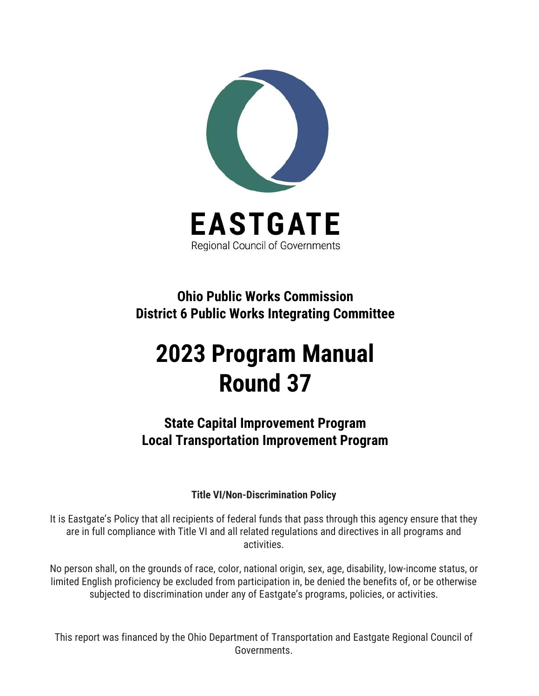

**Ohio Public Works Commission District 6 Public Works Integrating Committee**

# **2023 Program Manual Round 37**

**State Capital Improvement Program Local Transportation Improvement Program**

## **Title VI/Non-Discrimination Policy**

It is Eastgate's Policy that all recipients of federal funds that pass through this agency ensure that they are in full compliance with Title VI and all related regulations and directives in all programs and activities.

No person shall, on the grounds of race, color, national origin, sex, age, disability, low-income status, or limited English proficiency be excluded from participation in, be denied the benefits of, or be otherwise subjected to discrimination under any of Eastgate's programs, policies, or activities.

This report was financed by the Ohio Department of Transportation and Eastgate Regional Council of Governments.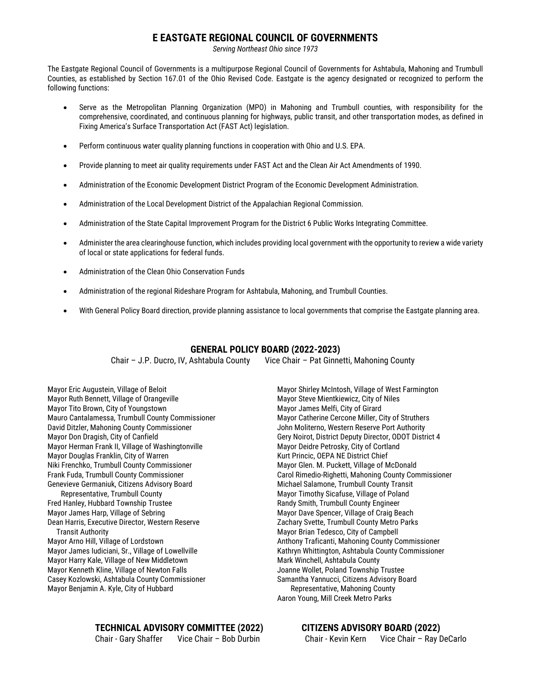#### **E EASTGATE REGIONAL COUNCIL OF GOVERNMENTS**

*Serving Northeast Ohio since 1973*

The Eastgate Regional Council of Governments is a multipurpose Regional Council of Governments for Ashtabula, Mahoning and Trumbull Counties, as established by Section 167.01 of the Ohio Revised Code. Eastgate is the agency designated or recognized to perform the following functions:

- Serve as the Metropolitan Planning Organization (MPO) in Mahoning and Trumbull counties, with responsibility for the comprehensive, coordinated, and continuous planning for highways, public transit, and other transportation modes, as defined in Fixing America's Surface Transportation Act (FAST Act) legislation.
- Perform continuous water quality planning functions in cooperation with Ohio and U.S. EPA.
- Provide planning to meet air quality requirements under FAST Act and the Clean Air Act Amendments of 1990.
- Administration of the Economic Development District Program of the Economic Development Administration.
- Administration of the Local Development District of the Appalachian Regional Commission.
- Administration of the State Capital Improvement Program for the District 6 Public Works Integrating Committee.
- Administer the area clearinghouse function, which includes providing local government with the opportunity to review a wide variety of local or state applications for federal funds.
- Administration of the Clean Ohio Conservation Funds
- Administration of the regional Rideshare Program for Ashtabula, Mahoning, and Trumbull Counties.
- With General Policy Board direction, provide planning assistance to local governments that comprise the Eastgate planning area.

#### **GENERAL POLICY BOARD (2022-2023)**

Chair – J.P. Ducro, IV, Ashtabula County Vice Chair – Pat Ginnetti, Mahoning County

Mayor Eric Augustein, Village of Beloit Mayor Ruth Bennett, Village of Orangeville Mayor Tito Brown, City of Youngstown Mauro Cantalamessa, Trumbull County Commissioner David Ditzler, Mahoning County Commissioner Mayor Don Dragish, City of Canfield Mayor Herman Frank II, Village of Washingtonville Mayor Douglas Franklin, City of Warren Niki Frenchko, Trumbull County Commissioner Frank Fuda, Trumbull County Commissioner Genevieve Germaniuk, Citizens Advisory Board Representative, Trumbull County

Fred Hanley, Hubbard Township Trustee Mayor James Harp, Village of Sebring Dean Harris, Executive Director, Western Reserve Transit Authority Mayor Arno Hill, Village of Lordstown Mayor James Iudiciani, Sr., Village of Lowellville Mayor Harry Kale, Village of New Middletown Mayor Kenneth Kline, Village of Newton Falls

Casey Kozlowski, Ashtabula County Commissioner Mayor Benjamin A. Kyle, City of Hubbard

Mayor Shirley McIntosh, Village of West Farmington Mayor Steve Mientkiewicz, City of Niles Mayor James Melfi, City of Girard Mayor Catherine Cercone Miller, City of Struthers John Moliterno, Western Reserve Port Authority Gery Noirot, District Deputy Director, ODOT District 4 Mayor Deidre Petrosky, City of Cortland Kurt Princic, OEPA NE District Chief Mayor Glen. M. Puckett, Village of McDonald Carol Rimedio-Righetti, Mahoning County Commissioner Michael Salamone, Trumbull County Transit Mayor Timothy Sicafuse, Village of Poland Randy Smith, Trumbull County Engineer Mayor Dave Spencer, Village of Craig Beach Zachary Svette, Trumbull County Metro Parks Mayor Brian Tedesco, City of Campbell Anthony Traficanti, Mahoning County Commissioner Kathryn Whittington, Ashtabula County Commissioner Mark Winchell, Ashtabula County Joanne Wollet, Poland Township Trustee Samantha Yannucci, Citizens Advisory Board Representative, Mahoning County Aaron Young, Mill Creek Metro Parks

**TECHNICAL ADVISORY COMMITTEE (2022) CITIZENS ADVISORY BOARD (2022)**

Chair - Gary Shaffer Vice Chair – Bob Durbin Chair - Kevin Kern Vice Chair – Ray DeCarlo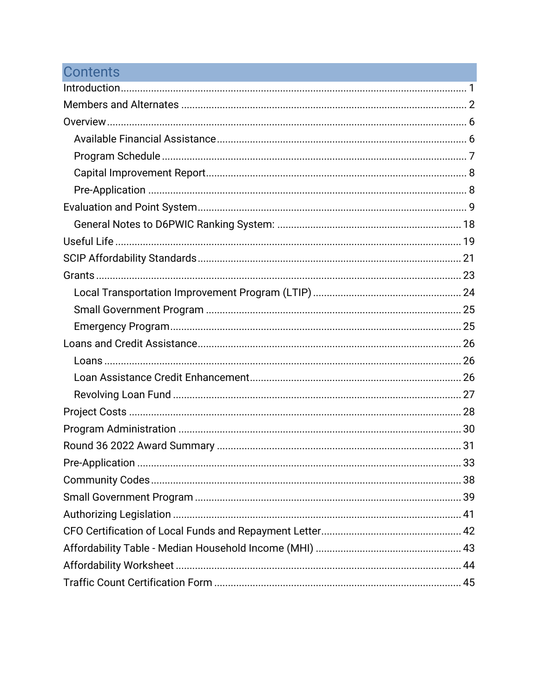# **Contents**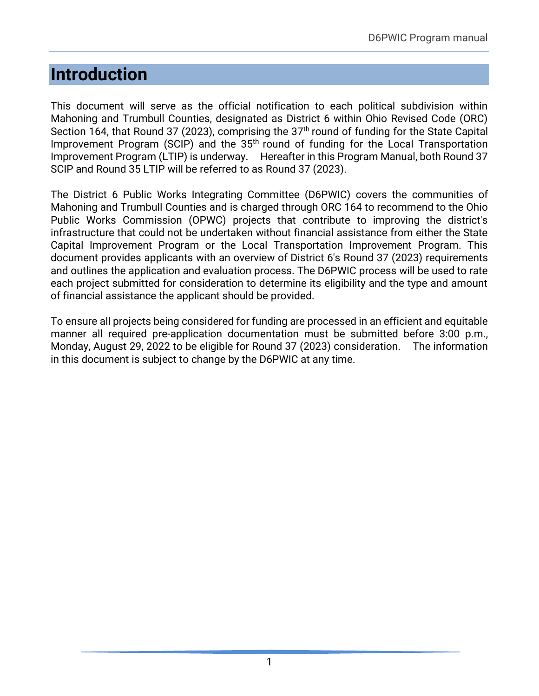# <span id="page-3-0"></span>**Introduction**

This document will serve as the official notification to each political subdivision within Mahoning and Trumbull Counties, designated as District 6 within Ohio Revised Code (ORC) Section 164, that Round 37 (2023), comprising the 37<sup>th</sup> round of funding for the State Capital Improvement Program (SCIP) and the 35<sup>th</sup> round of funding for the Local Transportation Improvement Program (LTIP) is underway. Hereafter in this Program Manual, both Round 37 SCIP and Round 35 LTIP will be referred to as Round 37 (2023).

The District 6 Public Works Integrating Committee (D6PWIC) covers the communities of Mahoning and Trumbull Counties and is charged through ORC 164 to recommend to the Ohio Public Works Commission (OPWC) projects that contribute to improving the district's infrastructure that could not be undertaken without financial assistance from either the State Capital Improvement Program or the Local Transportation Improvement Program. This document provides applicants with an overview of District 6's Round 37 (2023) requirements and outlines the application and evaluation process. The D6PWIC process will be used to rate each project submitted for consideration to determine its eligibility and the type and amount of financial assistance the applicant should be provided.

To ensure all projects being considered for funding are processed in an efficient and equitable manner all required pre-application documentation must be submitted before 3:00 p.m., Monday, August 29, 2022 to be eligible for Round 37 (2023) consideration. The information in this document is subject to change by the D6PWIC at any time.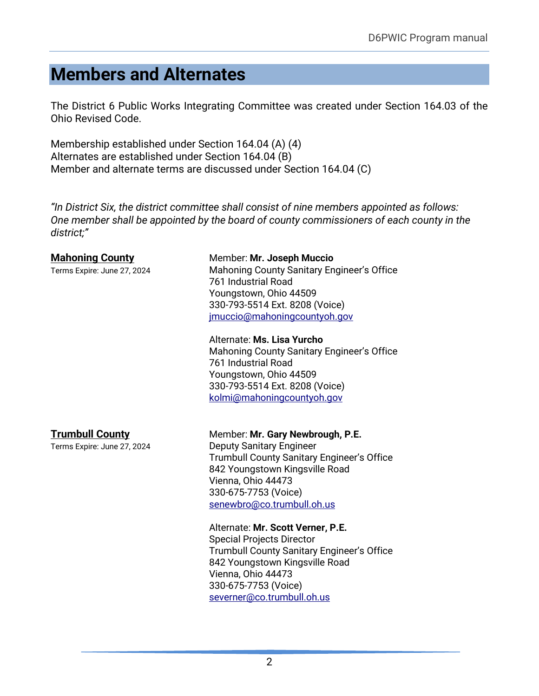# <span id="page-4-0"></span>**Members and Alternates**

The District 6 Public Works Integrating Committee was created under Section 164.03 of the Ohio Revised Code.

Membership established under Section 164.04 (A) (4) Alternates are established under Section 164.04 (B) Member and alternate terms are discussed under Section 164.04 (C)

*"In District Six, the district committee shall consist of nine members appointed as follows: One member shall be appointed by the board of county commissioners of each county in the district;"*

### **Mahoning County** Member: Mr. Joseph Muccio

Terms Expire: June 27, 2024 Mahoning County Sanitary Engineer's Office 761 Industrial Road Youngstown, Ohio 44509 330-793-5514 Ext. 8208 (Voice) [jmuccio@mahoningcountyoh.gov](mailto:dbenedetto@mahoningcountyoh.gov)

#### Alternate: **Ms. Lisa Yurcho**

Mahoning County Sanitary Engineer's Office 761 Industrial Road Youngstown, Ohio 44509 330-793-5514 Ext. 8208 (Voice) [kolmi@mahoningcountyoh.gov](mailto:dbenedetto@mahoningcountyoh.gov)

#### **Trumbull County** Member: Mr. Gary Newbrough, P.E.

Terms Expire: June 27, 2024 Deputy Sanitary Engineer Trumbull County Sanitary Engineer's Office 842 Youngstown Kingsville Road Vienna, Ohio 44473 330-675-7753 (Voice) [senewbro@co.trumbull.oh.us](mailto:senewbro@co.trumbull.oh.us)

#### Alternate: **Mr. Scott Verner, P.E.**

Special Projects Director Trumbull County Sanitary Engineer's Office 842 Youngstown Kingsville Road Vienna, Ohio 44473 330-675-7753 (Voice) [severner@co.trumbull.oh.us](mailto:severner@co.trumbull.oh.us)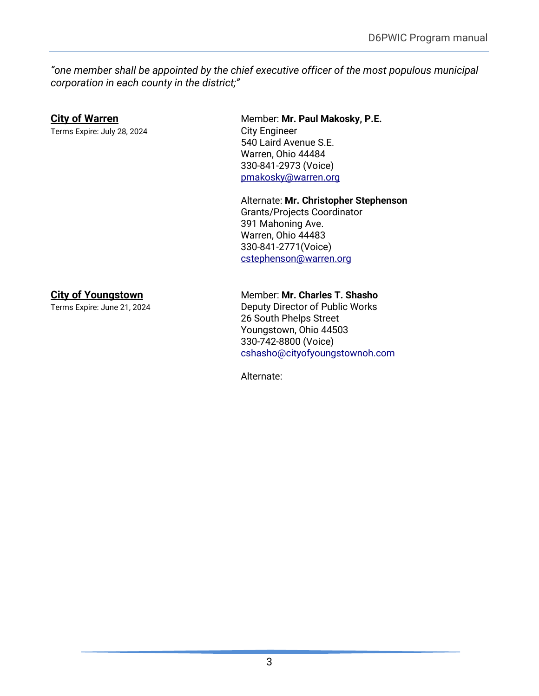*"one member shall be appointed by the chief executive officer of the most populous municipal corporation in each county in the district;"*

Terms Expire: July 28, 2024 City Engineer

## **City of Warren** Member: Mr. Paul Makosky, P.E. 540 Laird Avenue S.E. Warren, Ohio 44484 330-841-2973 (Voice) [pmakosky@warren.org](mailto:pmakosky@warren.org)

Alternate: **Mr. Christopher Stephenson**  Grants/Projects Coordinator 391 Mahoning Ave. Warren, Ohio 44483 330-841-2771(Voice) [cstephenson@warren.org](mailto:cstephenson@warren.org)

## **City of Youngstown** Member: Mr. Charles T. Shasho

Terms Expire: June 21, 2024 Deputy Director of Public Works 26 South Phelps Street Youngstown, Ohio 44503 330-742-8800 (Voice) [cshasho@cityofyoungstownoh.com](mailto:cshasho@cityofyoungstownoh.com)

Alternate: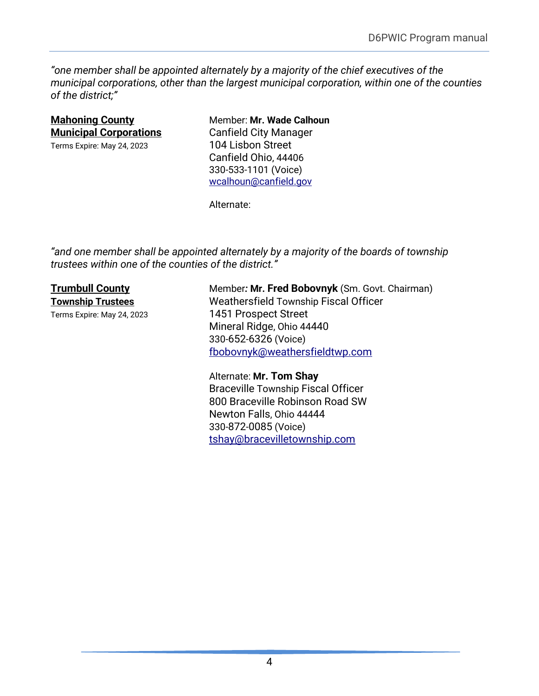*"one member shall be appointed alternately by a majority of the chief executives of the municipal corporations, other than the largest municipal corporation, within one of the counties of the district;"*

| <b>Mahoning County</b>                                      |  |  |
|-------------------------------------------------------------|--|--|
| <u><b>Municipal Corporations</b></u>                        |  |  |
| $T_{\text{max}}$ $F_{\text{max}}$ $M_{\text{max}}$ 0.4.0000 |  |  |

**Member: Mr. Wade Calhoun Music Canfield City Manager** Terms Expire: May 24, 2023 104 Lisbon Street Canfield Ohio, 44406 330-533-1101 (Voice) [wcalhoun@canfield.gov](mailto:wcalhoun@canfield.gov)

Alternate:

*"and one member shall be appointed alternately by a majority of the boards of township trustees within one of the counties of the district."*

**Trumbull County** Member: **Mr. Fred Bobovnyk** (Sm. Govt. Chairman) **Township Trustees** Weathersfield Township Fiscal Officer Terms Expire: May 24, 2023 1451 Prospect Street Mineral Ridge, Ohio 44440 330-652-6326 (Voice) [fbobovnyk@weathersfieldtwp.c](mailto:fbobovnyk@weathersfieldtwp.)om

> Alternate: **Mr. Tom Shay** Braceville Township Fiscal Officer 800 Braceville Robinson Road SW Newton Falls, Ohio 44444 330-872-0085 (Voice) [tshay@bracevilletownship.com](mailto:tshay@bracevilletownship.com)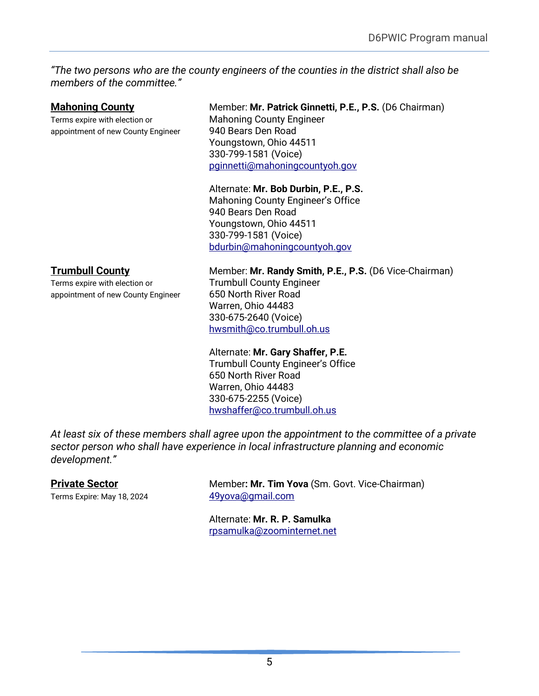*"The two persons who are the county engineers of the counties in the district shall also be members of the committee."*

Terms expire with election or **Mahoning County Engineer** appointment of new County Engineer 940 Bears Den Road

### **Mahoning County Member: Mr. Patrick Ginnetti, P.E., P.S. (D6 Chairman)**

Youngstown, Ohio 44511 330-799-1581 (Voice) [pginnetti@mahoningcountyoh.gov](mailto:pginnetti@mahoningcountyoh.gov)

## Alternate: **Mr. Bob Durbin, P.E., P.S.**

Mahoning County Engineer's Office 940 Bears Den Road Youngstown, Ohio 44511 330-799-1581 (Voice) [bdurbin@mahoningcountyoh.gov](mailto:bdurbin@mahoningcountyoh.gov)

Terms expire with election or Trumbull County Engineer appointment of new County Engineer 650 North River Road

#### **Trumbull County** Member: Mr. Randy Smith, P.E., P.S. (D6 Vice-Chairman)

Warren, Ohio 44483 330-675-2640 (Voice) [hwsmith@co.trumbull.oh.us](mailto:hwsmith@co.trumbull.oh.us)

#### Alternate: **Mr. Gary Shaffer, P.E.**

Trumbull County Engineer's Office 650 North River Road Warren, Ohio 44483 330-675-2255 (Voice) [hwshaffer@co.trumbull.oh.us](mailto:hwshaffer@co.trumbull.oh.us)

*At least six of these members shall agree upon the appointment to the committee of a private sector person who shall have experience in local infrastructure planning and economic development."*

Terms Expire: May 18, 2024 [49yova@gmail.com](mailto:49yova@gmail.com)

**Private Sector** Member: Mr. Tim Yova (Sm. Govt. Vice-Chairman)

Alternate: **Mr. R. P. Samulka** [rpsamulka@zoominternet.net](mailto:bert@zoominternet.net)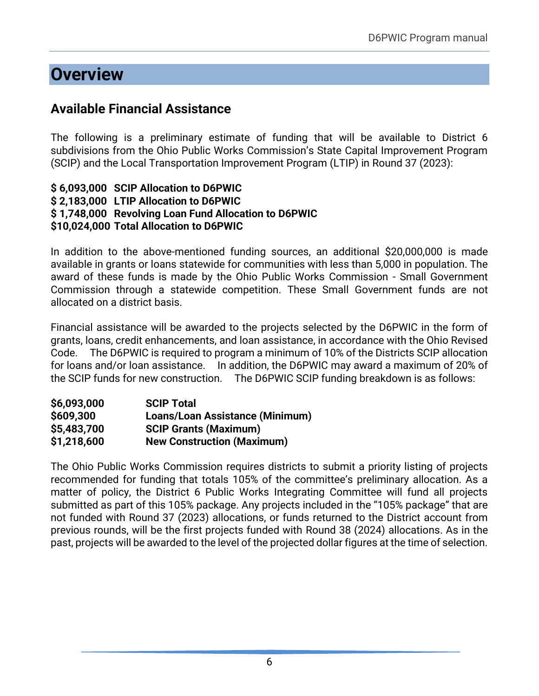# <span id="page-8-0"></span>**Overview**

## <span id="page-8-1"></span>**Available Financial Assistance**

The following is a preliminary estimate of funding that will be available to District 6 subdivisions from the Ohio Public Works Commission's State Capital Improvement Program (SCIP) and the Local Transportation Improvement Program (LTIP) in Round 37 (2023):

#### **\$ 6,093,000 SCIP Allocation to D6PWIC \$ 2,183,000 LTIP Allocation to D6PWIC \$ 1,748,000 Revolving Loan Fund Allocation to D6PWIC \$10,024,000 Total Allocation to D6PWIC**

In addition to the above-mentioned funding sources, an additional \$20,000,000 is made available in grants or loans statewide for communities with less than 5,000 in population. The award of these funds is made by the Ohio Public Works Commission - Small Government Commission through a statewide competition. These Small Government funds are not allocated on a district basis.

Financial assistance will be awarded to the projects selected by the D6PWIC in the form of grants, loans, credit enhancements, and loan assistance, in accordance with the Ohio Revised Code. The D6PWIC is required to program a minimum of 10% of the Districts SCIP allocation for loans and/or loan assistance. In addition, the D6PWIC may award a maximum of 20% of the SCIP funds for new construction. The D6PWIC SCIP funding breakdown is as follows:

| \$6,093,000 | <b>SCIP Total</b>                      |
|-------------|----------------------------------------|
| \$609,300   | <b>Loans/Loan Assistance (Minimum)</b> |
| \$5,483,700 | <b>SCIP Grants (Maximum)</b>           |
| \$1,218,600 | <b>New Construction (Maximum)</b>      |

The Ohio Public Works Commission requires districts to submit a priority listing of projects recommended for funding that totals 105% of the committee's preliminary allocation. As a matter of policy, the District 6 Public Works Integrating Committee will fund all projects submitted as part of this 105% package. Any projects included in the "105% package" that are not funded with Round 37 (2023) allocations, or funds returned to the District account from previous rounds, will be the first projects funded with Round 38 (2024) allocations. As in the past, projects will be awarded to the level of the projected dollar figures at the time of selection.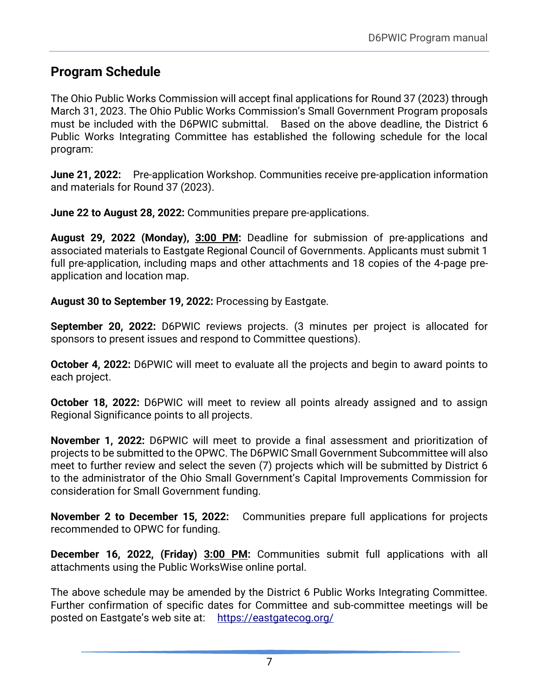## <span id="page-9-0"></span>**Program Schedule**

The Ohio Public Works Commission will accept final applications for Round 37 (2023) through March 31, 2023. The Ohio Public Works Commission's Small Government Program proposals must be included with the D6PWIC submittal. Based on the above deadline, the District 6 Public Works Integrating Committee has established the following schedule for the local program:

**June 21, 2022:**Pre-application Workshop. Communities receive pre-application information and materials for Round 37 (2023).

**June 22 to August 28, 2022:** Communities prepare pre-applications.

**August 29, 2022 (Monday), 3:00 PM:** Deadline for submission of pre-applications and associated materials to Eastgate Regional Council of Governments. Applicants must submit 1 full pre-application, including maps and other attachments and 18 copies of the 4-page preapplication and location map.

**August 30 to September 19, 2022:** Processing by Eastgate.

**September 20, 2022:** D6PWIC reviews projects. (3 minutes per project is allocated for sponsors to present issues and respond to Committee questions).

**October 4, 2022:** D6PWIC will meet to evaluate all the projects and begin to award points to each project.

**October 18, 2022:** D6PWIC will meet to review all points already assigned and to assign Regional Significance points to all projects.

**November 1, 2022:** D6PWIC will meet to provide a final assessment and prioritization of projects to be submitted to the OPWC. The D6PWIC Small Government Subcommittee will also meet to further review and select the seven (7) projects which will be submitted by District 6 to the administrator of the Ohio Small Government's Capital Improvements Commission for consideration for Small Government funding.

**November 2 to December 15, 2022:** Communities prepare full applications for projects recommended to OPWC for funding.

**December 16, 2022, (Friday) 3:00 PM:** Communities submit full applications with all attachments using the Public WorksWise online portal.

The above schedule may be amended by the District 6 Public Works Integrating Committee. Further confirmation of specific dates for Committee and sub-committee meetings will be posted on Eastgate's web site at: <https://eastgatecog.org/>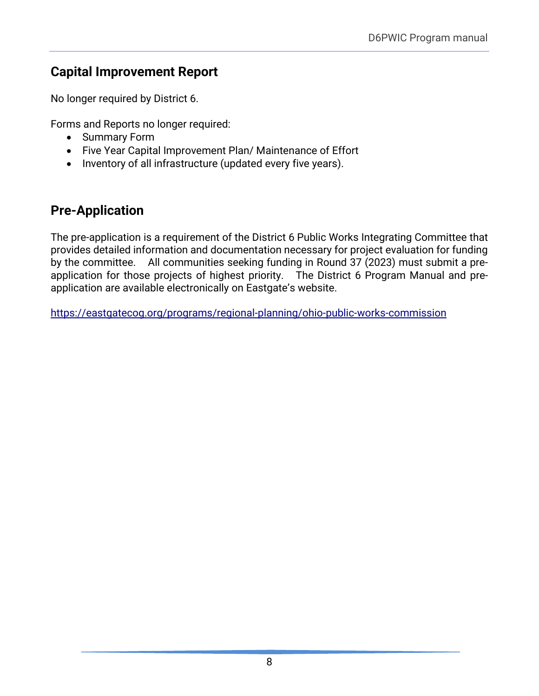## <span id="page-10-0"></span>**Capital Improvement Report**

No longer required by District 6.

Forms and Reports no longer required:

- Summary Form
- Five Year Capital Improvement Plan/ Maintenance of Effort
- Inventory of all infrastructure (updated every five years).

## <span id="page-10-1"></span>**Pre-Application**

The pre-application is a requirement of the District 6 Public Works Integrating Committee that provides detailed information and documentation necessary for project evaluation for funding by the committee. All communities seeking funding in Round 37 (2023) must submit a preapplication for those projects of highest priority. The District 6 Program Manual and preapplication are available electronically on Eastgate's website.

<https://eastgatecog.org/programs/regional-planning/ohio-public-works-commission>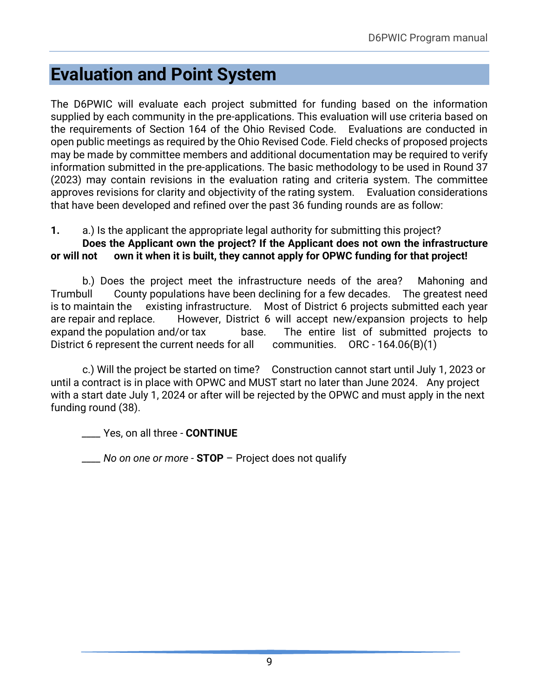# <span id="page-11-0"></span>**Evaluation and Point System**

The D6PWIC will evaluate each project submitted for funding based on the information supplied by each community in the pre-applications. This evaluation will use criteria based on the requirements of Section 164 of the Ohio Revised Code. Evaluations are conducted in open public meetings as required by the Ohio Revised Code. Field checks of proposed projects may be made by committee members and additional documentation may be required to verify information submitted in the pre-applications. The basic methodology to be used in Round 37 (2023) may contain revisions in the evaluation rating and criteria system. The committee approves revisions for clarity and objectivity of the rating system. Evaluation considerations that have been developed and refined over the past 36 funding rounds are as follow:

**1.** a.) Is the applicant the appropriate legal authority for submitting this project?

### **Does the Applicant own the project? If the Applicant does not own the infrastructure or will not own it when it is built, they cannot apply for OPWC funding for that project!**

b.) Does the project meet the infrastructure needs of the area? Mahoning and Trumbull County populations have been declining for a few decades. The greatest need is to maintain the existing infrastructure. Most of District 6 projects submitted each year are repair and replace. However, District 6 will accept new/expansion projects to help expand the population and/or tax base. The entire list of submitted projects to District 6 represent the current needs for all communities. ORC - 164.06(B)(1)

c.) Will the project be started on time? Construction cannot start until July 1, 2023 or until a contract is in place with OPWC and MUST start no later than June 2024. Any project with a start date July 1, 2024 or after will be rejected by the OPWC and must apply in the next funding round (38).

*\_\_\_\_* Yes, on all three - **CONTINUE**

*\_\_\_\_ No on one or more -* **STOP** – Project does not qualify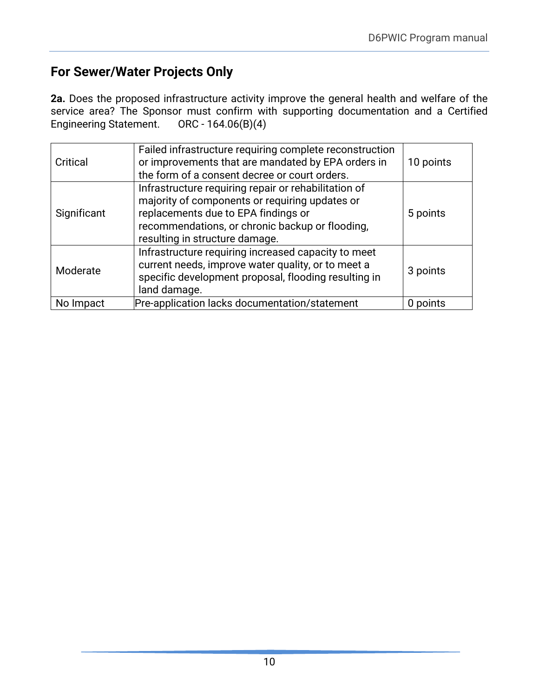## **For Sewer/Water Projects Only**

**2a.** Does the proposed infrastructure activity improve the general health and welfare of the service area? The Sponsor must confirm with supporting documentation and a Certified Engineering Statement. ORC - 164.06(B)(4)

| Critical    | Failed infrastructure requiring complete reconstruction<br>or improvements that are mandated by EPA orders in<br>the form of a consent decree or court orders.                                                                     | 10 points |
|-------------|------------------------------------------------------------------------------------------------------------------------------------------------------------------------------------------------------------------------------------|-----------|
| Significant | Infrastructure requiring repair or rehabilitation of<br>majority of components or requiring updates or<br>replacements due to EPA findings or<br>recommendations, or chronic backup or flooding,<br>resulting in structure damage. | 5 points  |
| Moderate    | Infrastructure requiring increased capacity to meet<br>current needs, improve water quality, or to meet a<br>specific development proposal, flooding resulting in<br>land damage.                                                  | 3 points  |
| No Impact   | Pre-application lacks documentation/statement                                                                                                                                                                                      | 0 points  |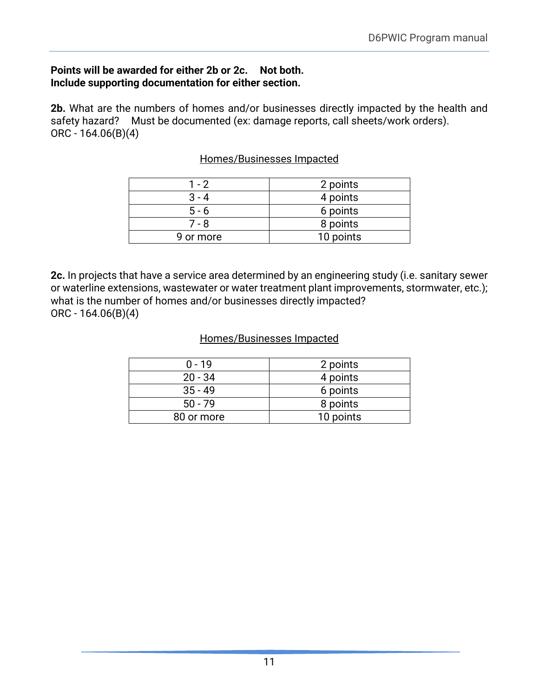#### **Points will be awarded for either 2b or 2c. Not both. Include supporting documentation for either section.**

**2b.** What are the numbers of homes and/or businesses directly impacted by the health and safety hazard? Must be documented (ex: damage reports, call sheets/work orders). ORC - 164.06(B)(4)

#### Homes/Businesses Impacted

| $1 - 2$   | 2 points  |
|-----------|-----------|
| $3 - 4$   | 4 points  |
| $5 - 6$   | 6 points  |
| 7 - 8     | 8 points  |
| 9 or more | 10 points |

**2c.** In projects that have a service area determined by an engineering study (i.e. sanitary sewer or waterline extensions, wastewater or water treatment plant improvements, stormwater, etc.); what is the number of homes and/or businesses directly impacted? ORC - 164.06(B)(4)

#### Homes/Businesses Impacted

| $0 - 19$   | 2 points  |
|------------|-----------|
| $20 - 34$  | 4 points  |
| $35 - 49$  | 6 points  |
| $50 - 79$  | 8 points  |
| 80 or more | 10 points |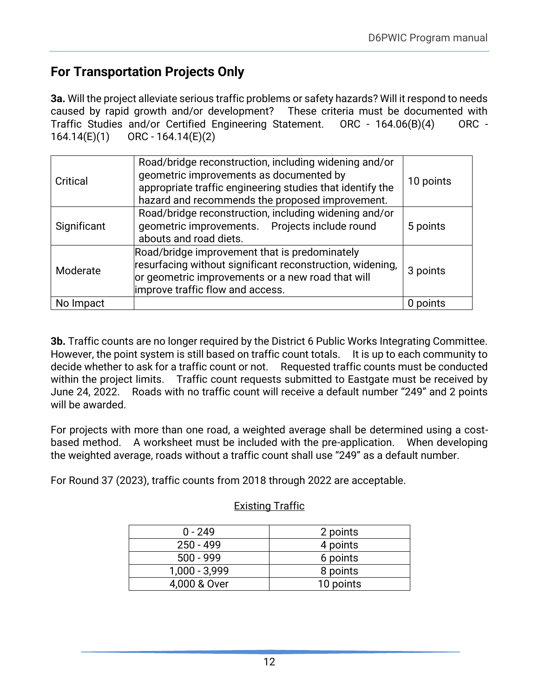## **For Transportation Projects Only**

**3a.** Will the project alleviate serious traffic problems or safety hazards? Will it respond to needs caused by rapid growth and/or development? These criteria must be documented with Traffic Studies and/or Certified Engineering Statement. ORC - 164.06(B)(4) ORC - 164.14(E)(1) ORC - 164.14(E)(2)

| Critical    | Road/bridge reconstruction, including widening and/or<br>geometric improvements as documented by<br>appropriate traffic engineering studies that identify the<br>hazard and recommends the proposed improvement. | 10 points |
|-------------|------------------------------------------------------------------------------------------------------------------------------------------------------------------------------------------------------------------|-----------|
| Significant | Road/bridge reconstruction, including widening and/or<br>geometric improvements. Projects include round<br>abouts and road diets.                                                                                | 5 points  |
| Moderate    | Road/bridge improvement that is predominately<br>resurfacing without significant reconstruction, widening,<br>or geometric improvements or a new road that will<br>improve traffic flow and access.              | 3 points  |
| No Impact   |                                                                                                                                                                                                                  | 0 points  |

**3b.** Traffic counts are no longer required by the District 6 Public Works Integrating Committee. However, the point system is still based on traffic count totals. It is up to each community to decide whether to ask for a traffic count or not. Requested traffic counts must be conducted within the project limits. Traffic count requests submitted to Eastgate must be received by June 24, 2022. Roads with no traffic count will receive a default number "249" and 2 points will be awarded.

For projects with more than one road, a weighted average shall be determined using a costbased method. A worksheet must be included with the pre-application. When developing the weighted average, roads without a traffic count shall use "249" as a default number.

For Round 37 (2023), traffic counts from 2018 through 2022 are acceptable.

## Existing Traffic

| $0 - 249$       | 2 points  |
|-----------------|-----------|
| $250 - 499$     | 4 points  |
| $500 - 999$     | 6 points  |
| $1,000 - 3,999$ | 8 points  |
| 4,000 & Over    | 10 points |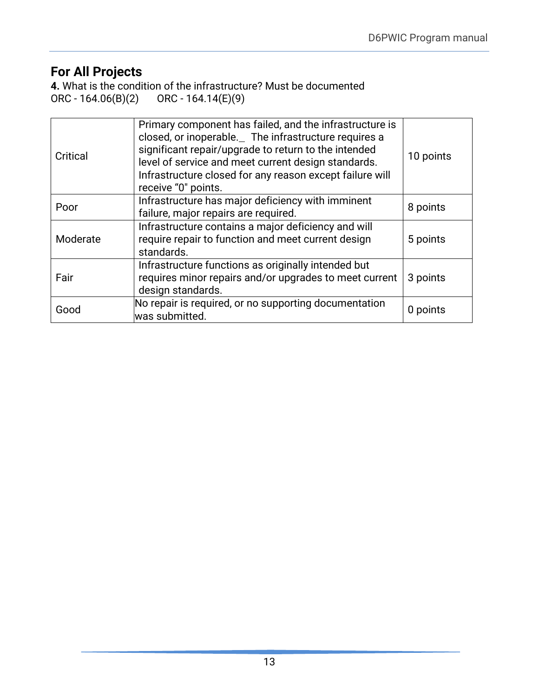# **For All Projects**

**4.** What is the condition of the infrastructure? Must be documented ORC - 164.06(B)(2) ORC - 164.14(E)(9) ORC - 164.14(E)(9)

| Critical | Primary component has failed, and the infrastructure is<br>closed, or inoperable. The infrastructure requires a<br>significant repair/upgrade to return to the intended<br>level of service and meet current design standards.<br>Infrastructure closed for any reason except failure will<br>receive "0" points. | 10 points |
|----------|-------------------------------------------------------------------------------------------------------------------------------------------------------------------------------------------------------------------------------------------------------------------------------------------------------------------|-----------|
| Poor     | Infrastructure has major deficiency with imminent<br>failure, major repairs are required.                                                                                                                                                                                                                         | 8 points  |
| Moderate | Infrastructure contains a major deficiency and will<br>require repair to function and meet current design<br>standards.                                                                                                                                                                                           | 5 points  |
| Fair     | Infrastructure functions as originally intended but<br>requires minor repairs and/or upgrades to meet current<br>design standards.                                                                                                                                                                                | 3 points  |
| Good     | No repair is required, or no supporting documentation<br>was submitted.                                                                                                                                                                                                                                           | 0 points  |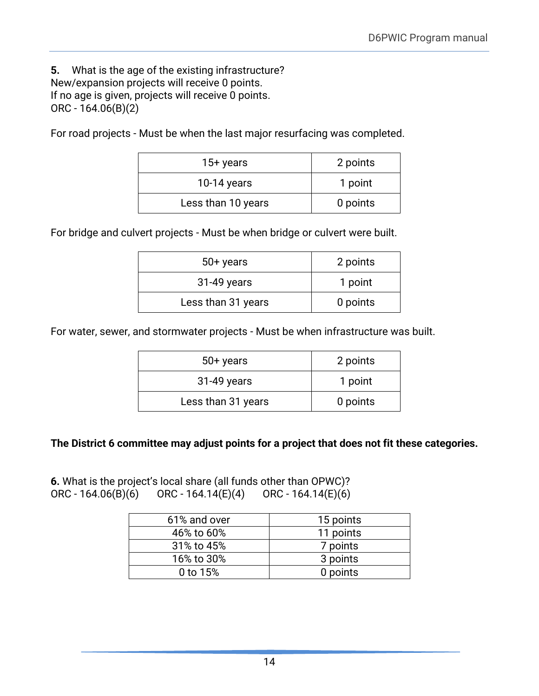**5.** What is the age of the existing infrastructure? New/expansion projects will receive 0 points. If no age is given, projects will receive 0 points. ORC - 164.06(B)(2)

For road projects - Must be when the last major resurfacing was completed.

| 15+ years          | 2 points |
|--------------------|----------|
| 10-14 years        | 1 point  |
| Less than 10 years | 0 points |

For bridge and culvert projects - Must be when bridge or culvert were built.

| $50+$ years        | 2 points |
|--------------------|----------|
| 31-49 years        | 1 point  |
| Less than 31 years | 0 points |

For water, sewer, and stormwater projects - Must be when infrastructure was built.

| $50+$ years        | 2 points |
|--------------------|----------|
| 31-49 years        | 1 point  |
| Less than 31 years | 0 points |

#### **The District 6 committee may adjust points for a project that does not fit these categories.**

**6.** What is the project's local share (all funds other than OPWC)? ORC - 164.06(B)(6) ORC - 164.14(E)(4) ORC - 164.14(E)(6)

| 61% and over | 15 points |
|--------------|-----------|
| 46% to 60%   | 11 points |
| 31% to 45%   | 7 points  |
| 16% to 30%   | 3 points  |
| 0 to 15%     | 0 points  |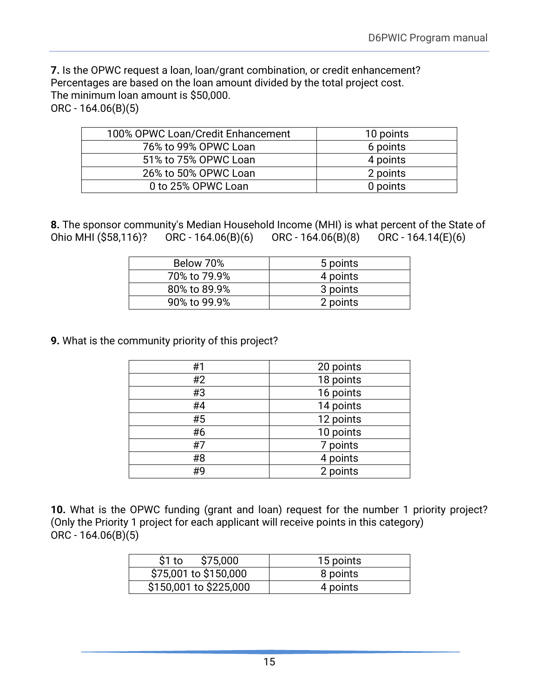**7.** Is the OPWC request a loan, loan/grant combination, or credit enhancement? Percentages are based on the loan amount divided by the total project cost. The minimum loan amount is \$50,000. ORC - 164.06(B)(5)

| 100% OPWC Loan/Credit Enhancement | 10 points |
|-----------------------------------|-----------|
| 76% to 99% OPWC Loan              | 6 points  |
| 51% to 75% OPWC Loan              | 4 points  |
| 26% to 50% OPWC Loan              | 2 points  |
| 0 to 25% OPWC Loan                | 0 points  |

**8.** The sponsor community's Median Household Income (MHI) is what percent of the State of Ohio MHI (\$58,116)? ORC - 164.06(B)(6) ORC - 164.06(B)(8) ORC - 164.14(E)(6)

| Below 70%    | 5 points |
|--------------|----------|
| 70% to 79.9% | 4 points |
| 80% to 89.9% | 3 points |
| 90% to 99.9% | 2 points |

**9.** What is the community priority of this project?

| #1 | 20 points |
|----|-----------|
| #2 | 18 points |
| #3 | 16 points |
| #4 | 14 points |
| #5 | 12 points |
| #6 | 10 points |
| #7 | 7 points  |
| #8 | 4 points  |
| #9 | 2 points  |

**10.** What is the OPWC funding (grant and loan) request for the number 1 priority project? (Only the Priority 1 project for each applicant will receive points in this category) ORC - 164.06(B)(5)

| \$75,000<br>\$1 to     | 15 points |
|------------------------|-----------|
| \$75,001 to \$150,000  | 8 points  |
| \$150,001 to \$225,000 | 4 points  |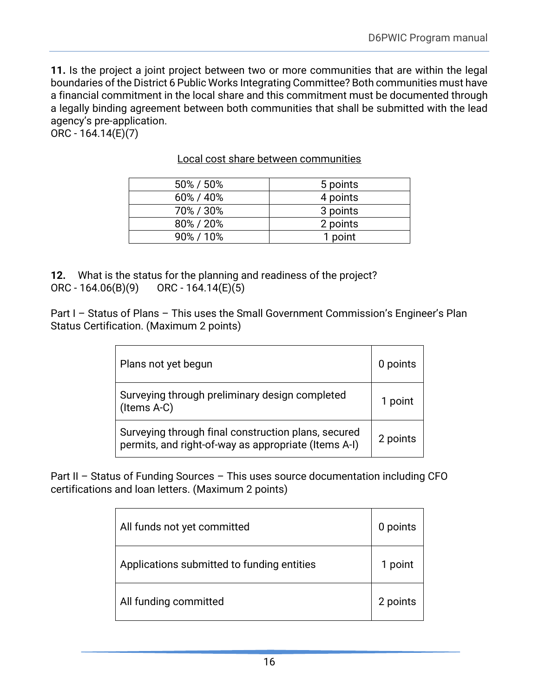**11.** Is the project a joint project between two or more communities that are within the legal boundaries of the District 6 Public Works Integrating Committee? Both communities must have a financial commitment in the local share and this commitment must be documented through a legally binding agreement between both communities that shall be submitted with the lead agency's pre-application.

ORC - 164.14(E)(7)

| 50% / 50% | 5 points |
|-----------|----------|
| 60% / 40% | 4 points |
| 70%/30%   | 3 points |
| 80%/20%   | 2 points |
| 90%/10%   | 1 point  |

Local cost share between communities

**12.** What is the status for the planning and readiness of the project? ORC - 164.06(B)(9) ORC - 164.14(E)(5)

Part I – Status of Plans – This uses the Small Government Commission's Engineer's Plan Status Certification. (Maximum 2 points)

| Plans not yet begun                                                                                         | 0 points |
|-------------------------------------------------------------------------------------------------------------|----------|
| Surveying through preliminary design completed<br>(Items A-C)                                               | 1 point  |
| Surveying through final construction plans, secured<br>permits, and right-of-way as appropriate (Items A-I) | 2 points |

Part II – Status of Funding Sources – This uses source documentation including CFO certifications and loan letters. (Maximum 2 points)

| All funds not yet committed                | 0 points |
|--------------------------------------------|----------|
| Applications submitted to funding entities | 1 point  |
| All funding committed                      | 2 points |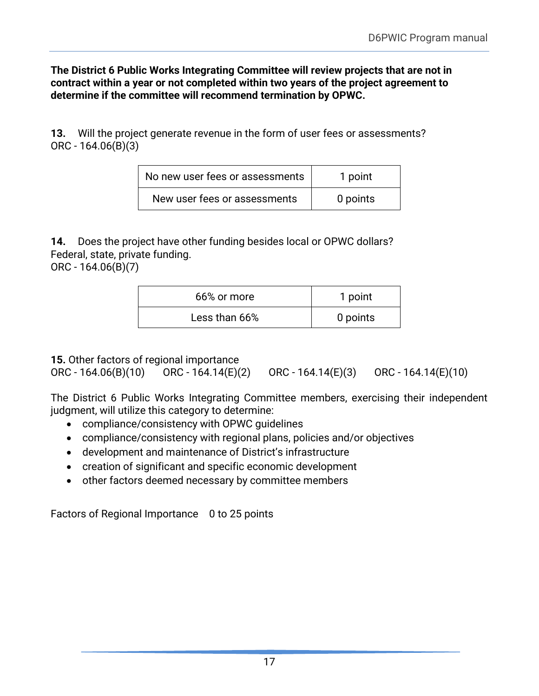**The District 6 Public Works Integrating Committee will review projects that are not in contract within a year or not completed within two years of the project agreement to determine if the committee will recommend termination by OPWC.**

**13.** Will the project generate revenue in the form of user fees or assessments? ORC - 164.06(B)(3)

| No new user fees or assessments | 1 point  |
|---------------------------------|----------|
| New user fees or assessments    | 0 points |

**14.** Does the project have other funding besides local or OPWC dollars? Federal, state, private funding.

ORC - 164.06(B)(7)

| 66% or more   | 1 point  |
|---------------|----------|
| Less than 66% | 0 points |

**15.** Other factors of regional importance

ORC - 164.06(B)(10) ORC - 164.14(E)(2) ORC - 164.14(E)(3) ORC - 164.14(E)(10)

The District 6 Public Works Integrating Committee members, exercising their independent judgment, will utilize this category to determine:

- compliance/consistency with OPWC guidelines
- compliance/consistency with regional plans, policies and/or objectives
- development and maintenance of District's infrastructure
- creation of significant and specific economic development
- other factors deemed necessary by committee members

Factors of Regional Importance 0 to 25 points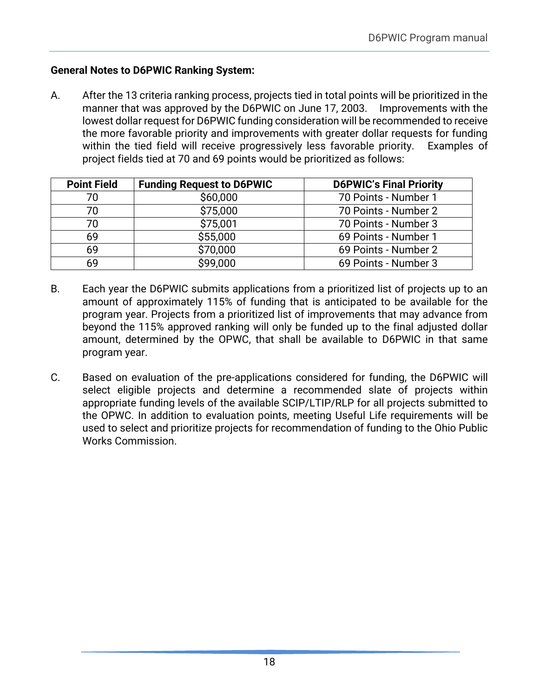### <span id="page-20-0"></span>**General Notes to D6PWIC Ranking System:**

A. After the 13 criteria ranking process, projects tied in total points will be prioritized in the manner that was approved by the D6PWIC on June 17, 2003. Improvements with the lowest dollar request for D6PWIC funding consideration will be recommended to receive the more favorable priority and improvements with greater dollar requests for funding within the tied field will receive progressively less favorable priority. Examples of project fields tied at 70 and 69 points would be prioritized as follows:

| <b>Point Field</b> | <b>Funding Request to D6PWIC</b> | <b>D6PWIC's Final Priority</b> |
|--------------------|----------------------------------|--------------------------------|
| 70                 | \$60,000                         | 70 Points - Number 1           |
| 70                 | \$75,000                         | 70 Points - Number 2           |
| 70                 | \$75,001                         | 70 Points - Number 3           |
| 69                 | \$55,000                         | 69 Points - Number 1           |
| 69                 | \$70,000                         | 69 Points - Number 2           |
| 69                 | \$99,000                         | 69 Points - Number 3           |

- B. Each year the D6PWIC submits applications from a prioritized list of projects up to an amount of approximately 115% of funding that is anticipated to be available for the program year. Projects from a prioritized list of improvements that may advance from beyond the 115% approved ranking will only be funded up to the final adjusted dollar amount, determined by the OPWC, that shall be available to D6PWIC in that same program year.
- C. Based on evaluation of the pre-applications considered for funding, the D6PWIC will select eligible projects and determine a recommended slate of projects within appropriate funding levels of the available SCIP/LTIP/RLP for all projects submitted to the OPWC. In addition to evaluation points, meeting Useful Life requirements will be used to select and prioritize projects for recommendation of funding to the Ohio Public Works Commission.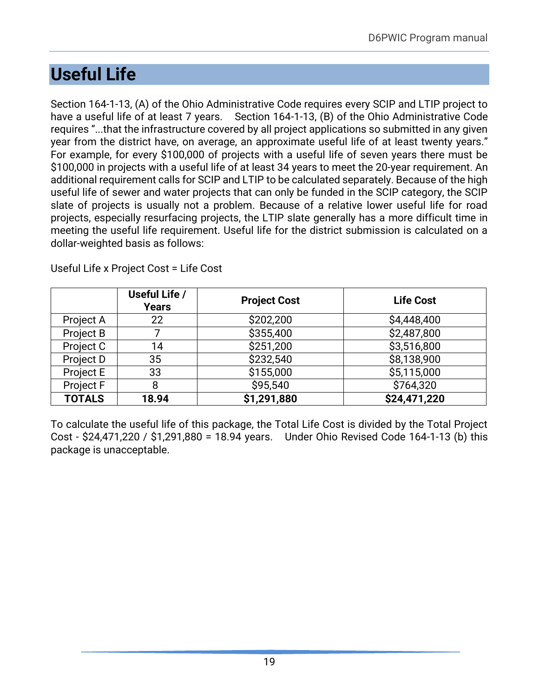# <span id="page-21-0"></span>**Useful Life**

Section 164-1-13, (A) of the Ohio Administrative Code requires every SCIP and LTIP project to have a useful life of at least 7 years. Section 164-1-13, (B) of the Ohio Administrative Code requires "...that the infrastructure covered by all project applications so submitted in any given year from the district have, on average, an approximate useful life of at least twenty years." For example, for every \$100,000 of projects with a useful life of seven years there must be \$100,000 in projects with a useful life of at least 34 years to meet the 20-year requirement. An additional requirement calls for SCIP and LTIP to be calculated separately. Because of the high useful life of sewer and water projects that can only be funded in the SCIP category, the SCIP slate of projects is usually not a problem. Because of a relative lower useful life for road projects, especially resurfacing projects, the LTIP slate generally has a more difficult time in meeting the useful life requirement. Useful life for the district submission is calculated on a dollar-weighted basis as follows:

|                  | Useful Life /<br><b>Years</b> | <b>Project Cost</b> | <b>Life Cost</b> |
|------------------|-------------------------------|---------------------|------------------|
| Project A        | 22                            | \$202,200           | \$4,448,400      |
| <b>Project B</b> |                               | \$355,400           | \$2,487,800      |
| Project C        | 14                            | \$251,200           | \$3,516,800      |
| Project D        | 35                            | \$232,540           | \$8,138,900      |
| Project E        | 33                            | \$155,000           | \$5,115,000      |
| Project F        | 8                             | \$95,540            | \$764,320        |
| <b>TOTALS</b>    | 18.94                         | \$1,291,880         | \$24,471,220     |

Useful Life x Project Cost = Life Cost

To calculate the useful life of this package, the Total Life Cost is divided by the Total Project Cost - \$24,471,220 / \$1,291,880 = 18.94 years. Under Ohio Revised Code 164-1-13 (b) this package is unacceptable.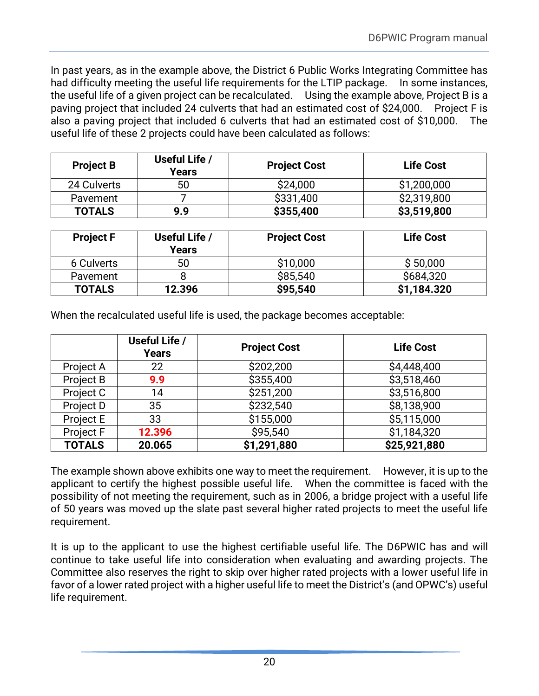In past years, as in the example above, the District 6 Public Works Integrating Committee has had difficulty meeting the useful life requirements for the LTIP package. In some instances, the useful life of a given project can be recalculated. Using the example above, Project B is a paving project that included 24 culverts that had an estimated cost of \$24,000. Project F is also a paving project that included 6 culverts that had an estimated cost of \$10,000. The useful life of these 2 projects could have been calculated as follows:

| <b>Project B</b> | Useful Life /<br>Years | <b>Project Cost</b> | <b>Life Cost</b> |
|------------------|------------------------|---------------------|------------------|
| 24 Culverts      | 50                     | \$24,000            | \$1,200,000      |
| Pavement         |                        | \$331,400           | \$2,319,800      |
| <b>TOTALS</b>    | 9.9                    | \$355,400           | \$3,519,800      |

| <b>Project F</b> | Useful Life /<br>Years | <b>Project Cost</b> | <b>Life Cost</b> |
|------------------|------------------------|---------------------|------------------|
| 6 Culverts       | 50                     | \$10,000            | \$50,000         |
| Pavement         |                        | \$85,540            | \$684,320        |
| <b>TOTALS</b>    | 12.396                 | \$95,540            | \$1,184.320      |

When the recalculated useful life is used, the package becomes acceptable:

|                  | Useful Life /<br><b>Years</b> | <b>Project Cost</b> | <b>Life Cost</b> |
|------------------|-------------------------------|---------------------|------------------|
| Project A        | 22                            | \$202,200           | \$4,448,400      |
| Project B        | 9.9                           | \$355,400           | \$3,518,460      |
| Project C        | 14                            | \$251,200           | \$3,516,800      |
| Project D        | 35                            | \$232,540           | \$8,138,900      |
| Project E        | 33                            | \$155,000           | \$5,115,000      |
| <b>Project F</b> | 12.396                        | \$95,540            | \$1,184,320      |
| <b>TOTALS</b>    | 20.065                        | \$1,291,880         | \$25,921,880     |

The example shown above exhibits one way to meet the requirement. However, it is up to the applicant to certify the highest possible useful life. When the committee is faced with the possibility of not meeting the requirement, such as in 2006, a bridge project with a useful life of 50 years was moved up the slate past several higher rated projects to meet the useful life requirement.

It is up to the applicant to use the highest certifiable useful life. The D6PWIC has and will continue to take useful life into consideration when evaluating and awarding projects. The Committee also reserves the right to skip over higher rated projects with a lower useful life in favor of a lower rated project with a higher useful life to meet the District's (and OPWC's) useful life requirement.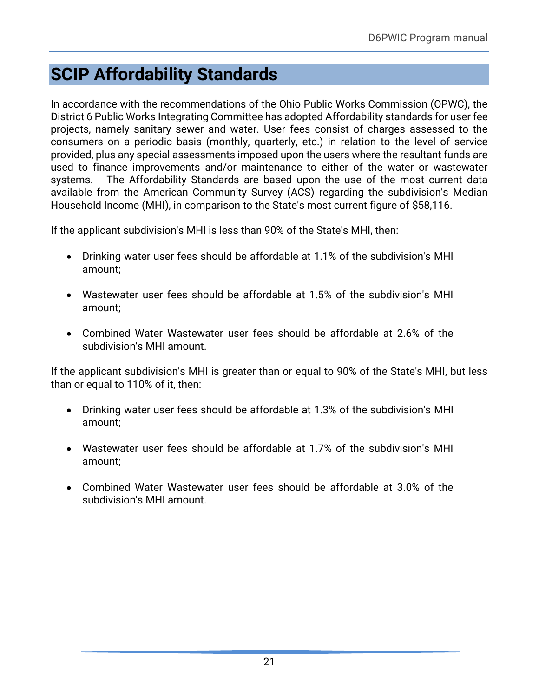# <span id="page-23-0"></span>**SCIP Affordability Standards**

In accordance with the recommendations of the Ohio Public Works Commission (OPWC), the District 6 Public Works Integrating Committee has adopted Affordability standards for user fee projects, namely sanitary sewer and water. User fees consist of charges assessed to the consumers on a periodic basis (monthly, quarterly, etc.) in relation to the level of service provided, plus any special assessments imposed upon the users where the resultant funds are used to finance improvements and/or maintenance to either of the water or wastewater systems. The Affordability Standards are based upon the use of the most current data available from the American Community Survey (ACS) regarding the subdivision's Median Household Income (MHI), in comparison to the State's most current figure of \$58,116.

If the applicant subdivision's MHI is less than 90% of the State's MHI, then:

- Drinking water user fees should be affordable at 1.1% of the subdivision's MHI amount;
- Wastewater user fees should be affordable at 1.5% of the subdivision's MHI amount;
- Combined Water Wastewater user fees should be affordable at 2.6% of the subdivision's MHI amount.

If the applicant subdivision's MHI is greater than or equal to 90% of the State's MHI, but less than or equal to 110% of it, then:

- Drinking water user fees should be affordable at 1.3% of the subdivision's MHI amount;
- Wastewater user fees should be affordable at 1.7% of the subdivision's MHI amount;
- Combined Water Wastewater user fees should be affordable at 3.0% of the subdivision's MHI amount.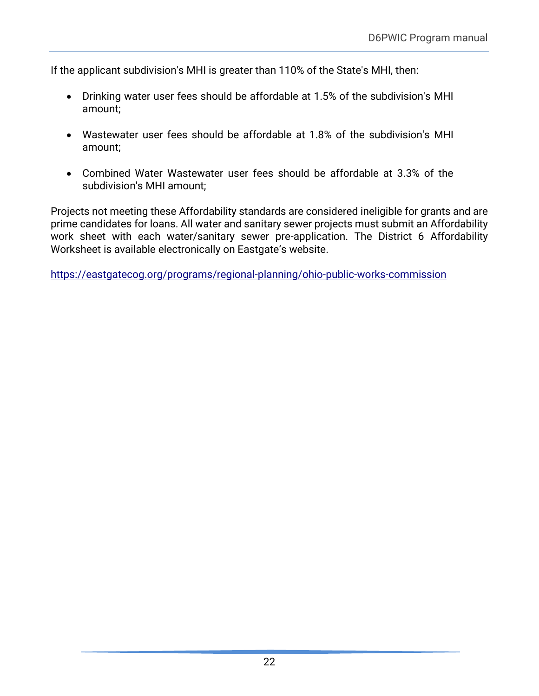If the applicant subdivision's MHI is greater than 110% of the State's MHI, then:

- Drinking water user fees should be affordable at 1.5% of the subdivision's MHI amount;
- Wastewater user fees should be affordable at 1.8% of the subdivision's MHI amount;
- Combined Water Wastewater user fees should be affordable at 3.3% of the subdivision's MHI amount;

Projects not meeting these Affordability standards are considered ineligible for grants and are prime candidates for loans. All water and sanitary sewer projects must submit an Affordability work sheet with each water/sanitary sewer pre-application. The District 6 Affordability Worksheet is available electronically on Eastgate's website.

<https://eastgatecog.org/programs/regional-planning/ohio-public-works-commission>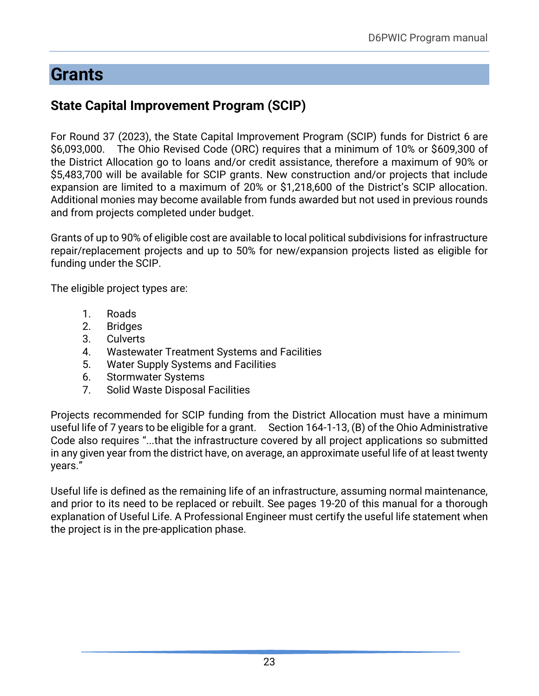# <span id="page-25-0"></span>**Grants**

## **State Capital Improvement Program (SCIP)**

For Round 37 (2023), the State Capital Improvement Program (SCIP) funds for District 6 are \$6,093,000. The Ohio Revised Code (ORC) requires that a minimum of 10% or \$609,300 of the District Allocation go to loans and/or credit assistance, therefore a maximum of 90% or \$5,483,700 will be available for SCIP grants. New construction and/or projects that include expansion are limited to a maximum of 20% or \$1,218,600 of the District's SCIP allocation. Additional monies may become available from funds awarded but not used in previous rounds and from projects completed under budget.

Grants of up to 90% of eligible cost are available to local political subdivisions for infrastructure repair/replacement projects and up to 50% for new/expansion projects listed as eligible for funding under the SCIP.

The eligible project types are:

- 1. Roads
- 2. Bridges
- 3. Culverts
- 4. Wastewater Treatment Systems and Facilities
- 5. Water Supply Systems and Facilities
- 6. Stormwater Systems
- 7. Solid Waste Disposal Facilities

Projects recommended for SCIP funding from the District Allocation must have a minimum useful life of 7 years to be eligible for a grant. Section 164-1-13, (B) of the Ohio Administrative Code also requires "...that the infrastructure covered by all project applications so submitted in any given year from the district have, on average, an approximate useful life of at least twenty years."

Useful life is defined as the remaining life of an infrastructure, assuming normal maintenance, and prior to its need to be replaced or rebuilt. See pages 19-20 of this manual for a thorough explanation of Useful Life. A Professional Engineer must certify the useful life statement when the project is in the pre-application phase.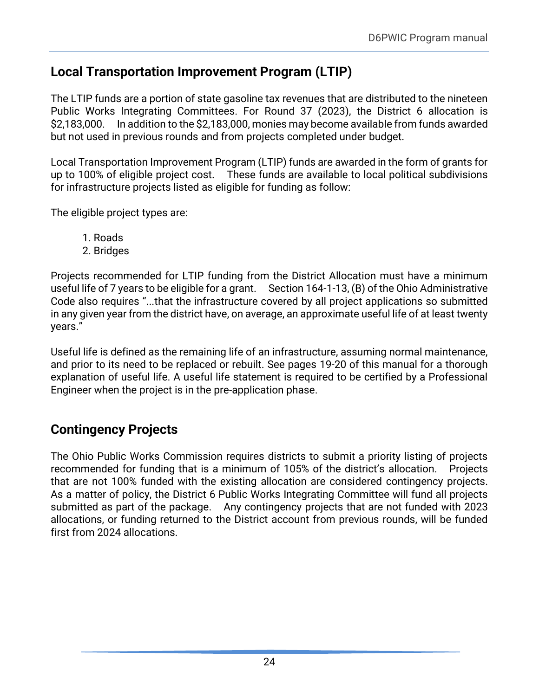## <span id="page-26-0"></span>**Local Transportation Improvement Program (LTIP)**

The LTIP funds are a portion of state gasoline tax revenues that are distributed to the nineteen Public Works Integrating Committees. For Round 37 (2023), the District 6 allocation is \$2,183,000. In addition to the \$2,183,000, monies may become available from funds awarded but not used in previous rounds and from projects completed under budget.

Local Transportation Improvement Program (LTIP) funds are awarded in the form of grants for up to 100% of eligible project cost. These funds are available to local political subdivisions for infrastructure projects listed as eligible for funding as follow:

The eligible project types are:

- 1. Roads
- 2. Bridges

Projects recommended for LTIP funding from the District Allocation must have a minimum useful life of 7 years to be eligible for a grant. Section 164-1-13, (B) of the Ohio Administrative Code also requires "...that the infrastructure covered by all project applications so submitted in any given year from the district have, on average, an approximate useful life of at least twenty years."

Useful life is defined as the remaining life of an infrastructure, assuming normal maintenance, and prior to its need to be replaced or rebuilt. See pages 19-20 of this manual for a thorough explanation of useful life. A useful life statement is required to be certified by a Professional Engineer when the project is in the pre-application phase.

## **Contingency Projects**

The Ohio Public Works Commission requires districts to submit a priority listing of projects recommended for funding that is a minimum of 105% of the district's allocation. Projects that are not 100% funded with the existing allocation are considered contingency projects. As a matter of policy, the District 6 Public Works Integrating Committee will fund all projects submitted as part of the package. Any contingency projects that are not funded with 2023 allocations, or funding returned to the District account from previous rounds, will be funded first from 2024 allocations.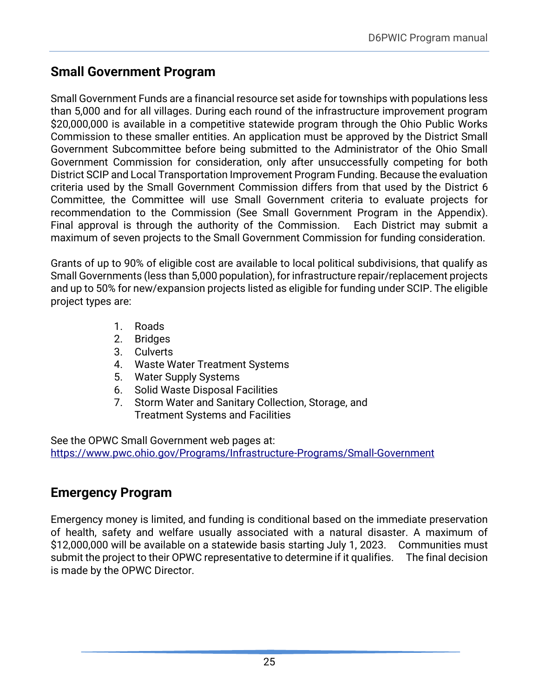## <span id="page-27-0"></span>**Small Government Program**

Small Government Funds are a financial resource set aside for townships with populations less than 5,000 and for all villages. During each round of the infrastructure improvement program \$20,000,000 is available in a competitive statewide program through the Ohio Public Works Commission to these smaller entities. An application must be approved by the District Small Government Subcommittee before being submitted to the Administrator of the Ohio Small Government Commission for consideration, only after unsuccessfully competing for both District SCIP and Local Transportation Improvement Program Funding. Because the evaluation criteria used by the Small Government Commission differs from that used by the District 6 Committee, the Committee will use Small Government criteria to evaluate projects for recommendation to the Commission (See Small Government Program in the Appendix). Final approval is through the authority of the Commission. Each District may submit a maximum of seven projects to the Small Government Commission for funding consideration.

Grants of up to 90% of eligible cost are available to local political subdivisions, that qualify as Small Governments (less than 5,000 population), for infrastructure repair/replacement projects and up to 50% for new/expansion projects listed as eligible for funding under SCIP. The eligible project types are:

- 1. Roads
- 2. Bridges
- 3. Culverts
- 4. Waste Water Treatment Systems
- 5. Water Supply Systems
- 6. Solid Waste Disposal Facilities
- 7. Storm Water and Sanitary Collection, Storage, and Treatment Systems and Facilities

See the OPWC Small Government web pages at: <https://www.pwc.ohio.gov/Programs/Infrastructure-Programs/Small-Government>

## <span id="page-27-1"></span>**Emergency Program**

Emergency money is limited, and funding is conditional based on the immediate preservation of health, safety and welfare usually associated with a natural disaster. A maximum of \$12,000,000 will be available on a statewide basis starting July 1, 2023. Communities must submit the project to their OPWC representative to determine if it qualifies. The final decision is made by the OPWC Director.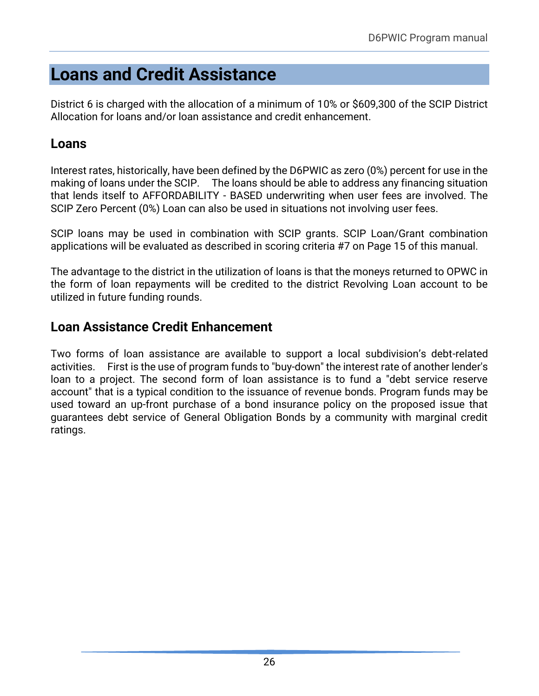# <span id="page-28-0"></span>**Loans and Credit Assistance**

District 6 is charged with the allocation of a minimum of 10% or \$609,300 of the SCIP District Allocation for loans and/or loan assistance and credit enhancement.

## <span id="page-28-1"></span>**Loans**

Interest rates, historically, have been defined by the D6PWIC as zero (0%) percent for use in the making of loans under the SCIP. The loans should be able to address any financing situation that lends itself to AFFORDABILITY - BASED underwriting when user fees are involved. The SCIP Zero Percent (0%) Loan can also be used in situations not involving user fees.

SCIP loans may be used in combination with SCIP grants. SCIP Loan/Grant combination applications will be evaluated as described in scoring criteria #7 on Page 15 of this manual.

The advantage to the district in the utilization of loans is that the moneys returned to OPWC in the form of loan repayments will be credited to the district Revolving Loan account to be utilized in future funding rounds.

## <span id="page-28-2"></span>**Loan Assistance Credit Enhancement**

Two forms of loan assistance are available to support a local subdivision's debt-related activities. First is the use of program funds to "buy-down" the interest rate of another lender's loan to a project. The second form of loan assistance is to fund a "debt service reserve account" that is a typical condition to the issuance of revenue bonds. Program funds may be used toward an up-front purchase of a bond insurance policy on the proposed issue that guarantees debt service of General Obligation Bonds by a community with marginal credit ratings.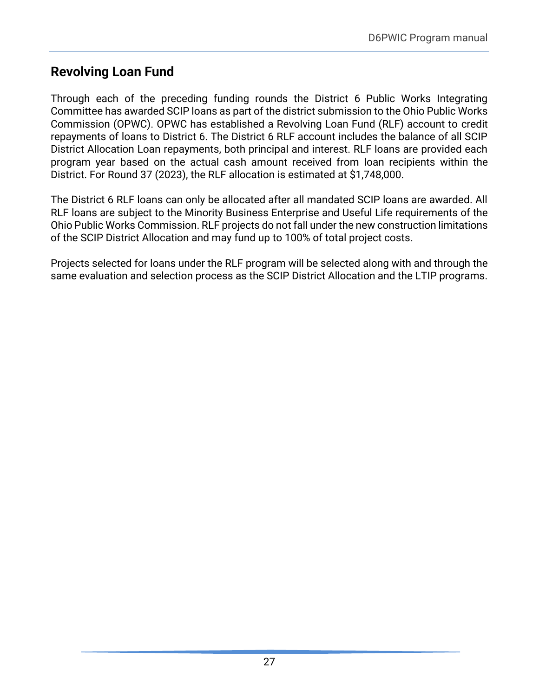## <span id="page-29-0"></span>**Revolving Loan Fund**

Through each of the preceding funding rounds the District 6 Public Works Integrating Committee has awarded SCIP loans as part of the district submission to the Ohio Public Works Commission (OPWC). OPWC has established a Revolving Loan Fund (RLF) account to credit repayments of loans to District 6. The District 6 RLF account includes the balance of all SCIP District Allocation Loan repayments, both principal and interest. RLF loans are provided each program year based on the actual cash amount received from loan recipients within the District. For Round 37 (2023), the RLF allocation is estimated at \$1,748,000.

The District 6 RLF loans can only be allocated after all mandated SCIP loans are awarded. All RLF loans are subject to the Minority Business Enterprise and Useful Life requirements of the Ohio Public Works Commission. RLF projects do not fall under the new construction limitations of the SCIP District Allocation and may fund up to 100% of total project costs.

Projects selected for loans under the RLF program will be selected along with and through the same evaluation and selection process as the SCIP District Allocation and the LTIP programs.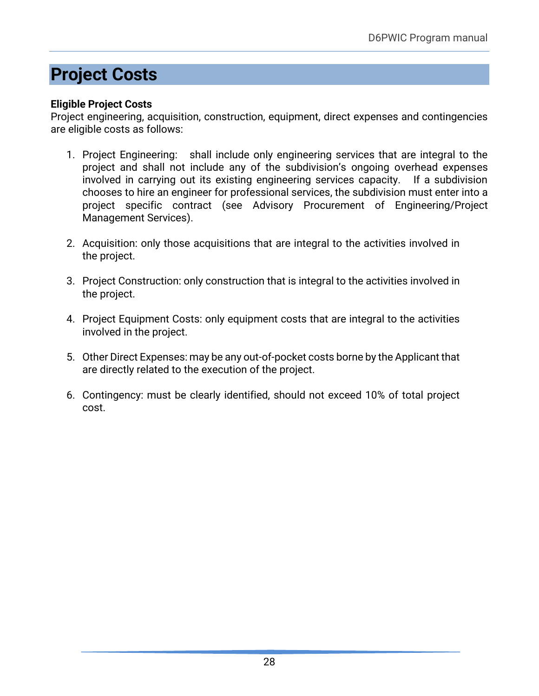# <span id="page-30-0"></span>**Project Costs**

### **Eligible Project Costs**

Project engineering, acquisition, construction, equipment, direct expenses and contingencies are eligible costs as follows:

- 1. Project Engineering: shall include only engineering services that are integral to the project and shall not include any of the subdivision's ongoing overhead expenses involved in carrying out its existing engineering services capacity. If a subdivision chooses to hire an engineer for professional services, the subdivision must enter into a project specific contract (see Advisory Procurement of Engineering/Project Management Services).
- 2. Acquisition: only those acquisitions that are integral to the activities involved in the project.
- 3. Project Construction: only construction that is integral to the activities involved in the project.
- 4. Project Equipment Costs: only equipment costs that are integral to the activities involved in the project.
- 5. Other Direct Expenses: may be any out-of-pocket costs borne by the Applicant that are directly related to the execution of the project.
- 6. Contingency: must be clearly identified, should not exceed 10% of total project cost.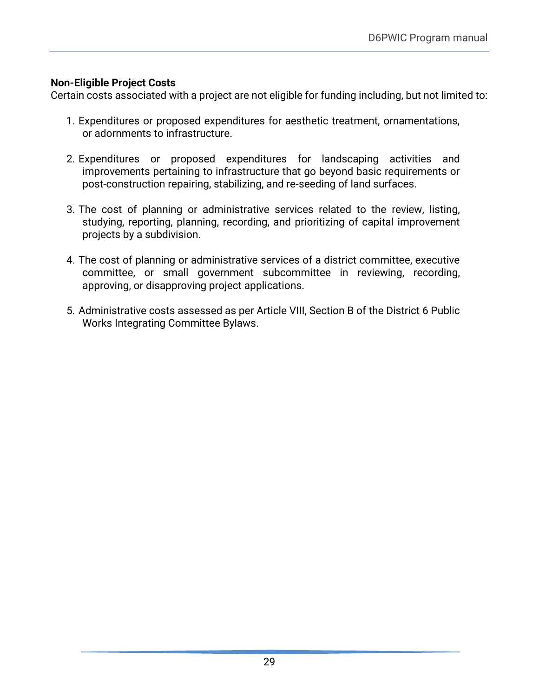### **Non-Eligible Project Costs**

Certain costs associated with a project are not eligible for funding including, but not limited to:

- 1. Expenditures or proposed expenditures for aesthetic treatment, ornamentations, or adornments to infrastructure.
- 2. Expenditures or proposed expenditures for landscaping activities and improvements pertaining to infrastructure that go beyond basic requirements or post-construction repairing, stabilizing, and re-seeding of land surfaces.
- 3. The cost of planning or administrative services related to the review, listing, studying, reporting, planning, recording, and prioritizing of capital improvement projects by a subdivision.
- 4. The cost of planning or administrative services of a district committee, executive committee, or small government subcommittee in reviewing, recording, approving, or disapproving project applications.
- 5. Administrative costs assessed as per Article VIII, Section B of the District 6 Public Works Integrating Committee Bylaws.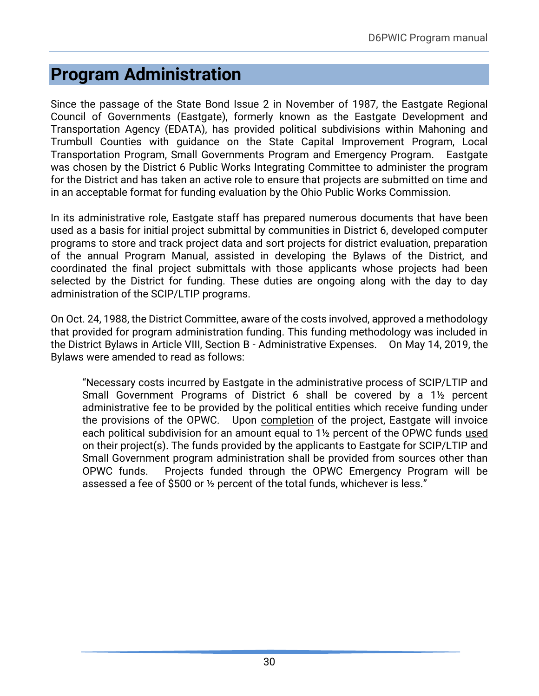# <span id="page-32-0"></span>**Program Administration**

Since the passage of the State Bond Issue 2 in November of 1987, the Eastgate Regional Council of Governments (Eastgate), formerly known as the Eastgate Development and Transportation Agency (EDATA), has provided political subdivisions within Mahoning and Trumbull Counties with guidance on the State Capital Improvement Program, Local Transportation Program, Small Governments Program and Emergency Program. Eastgate was chosen by the District 6 Public Works Integrating Committee to administer the program for the District and has taken an active role to ensure that projects are submitted on time and in an acceptable format for funding evaluation by the Ohio Public Works Commission.

In its administrative role, Eastgate staff has prepared numerous documents that have been used as a basis for initial project submittal by communities in District 6, developed computer programs to store and track project data and sort projects for district evaluation, preparation of the annual Program Manual, assisted in developing the Bylaws of the District, and coordinated the final project submittals with those applicants whose projects had been selected by the District for funding. These duties are ongoing along with the day to day administration of the SCIP/LTIP programs.

On Oct. 24, 1988, the District Committee, aware of the costs involved, approved a methodology that provided for program administration funding. This funding methodology was included in the District Bylaws in Article VIII, Section B - Administrative Expenses. On May 14, 2019, the Bylaws were amended to read as follows:

"Necessary costs incurred by Eastgate in the administrative process of SCIP/LTIP and Small Government Programs of District 6 shall be covered by a 1½ percent administrative fee to be provided by the political entities which receive funding under the provisions of the OPWC. Upon completion of the project, Eastgate will invoice each political subdivision for an amount equal to 1<sup>1</sup>/<sub>2</sub> percent of the OPWC funds used on their project(s). The funds provided by the applicants to Eastgate for SCIP/LTIP and Small Government program administration shall be provided from sources other than OPWC funds. Projects funded through the OPWC Emergency Program will be assessed a fee of \$500 or ½ percent of the total funds, whichever is less."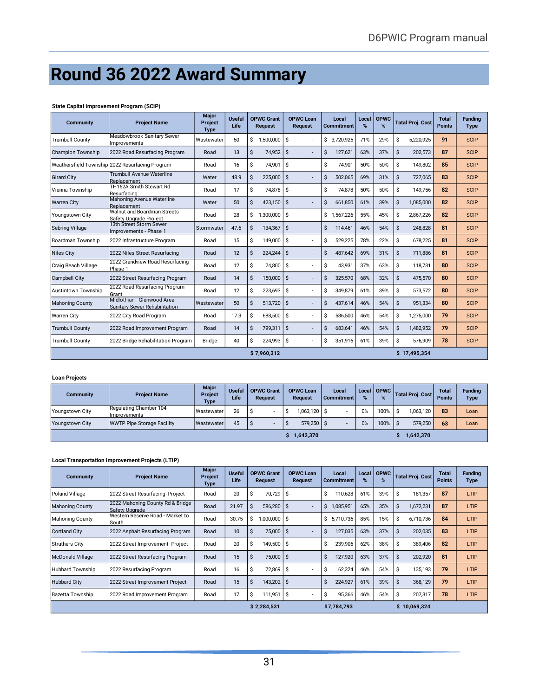# <span id="page-33-0"></span>**Round 36 2022 Award Summary**

#### **State Capital Improvement Program (SCIP)**

| <b>Community</b>         | <b>Project Name</b>                                                | Major<br>Project<br><b>Type</b> | <b>Useful</b><br>Life |    | <b>OPWC Grant</b><br><b>Request</b> |     | <b>OPWC Loan</b><br><b>Request</b> |    | Local<br><b>Commitment</b> | Local<br>% | <b>OPWC</b><br>% |    | <b>Total Proi. Cost</b> | <b>Total</b><br><b>Points</b> | <b>Fundina</b><br><b>Type</b> |
|--------------------------|--------------------------------------------------------------------|---------------------------------|-----------------------|----|-------------------------------------|-----|------------------------------------|----|----------------------------|------------|------------------|----|-------------------------|-------------------------------|-------------------------------|
| <b>Trumbull County</b>   | Meadowbrook Sanitary Sewer<br>Improvements                         | Wastewater                      | 50                    | \$ | 1.500.000                           | Ŝ.  |                                    |    | \$ 3.720.925               | 71%        | 29%              | \$ | 5.220.925               | 91                            | <b>SCIP</b>                   |
| <b>Champion Township</b> | 2022 Road Resurfacing Program                                      | Road                            | 13                    | Ŝ. | 74,952 \$                           |     |                                    | \$ | 127,621                    | 63%        | 37%              | Ŝ. | 202,573                 | 87                            | <b>SCIP</b>                   |
|                          | Weathersfield Township 2022 Resurfacing Program                    | Road                            | 16                    | \$ | 74,901                              | Ŝ.  |                                    | \$ | 74,901                     | 50%        | 50%              | \$ | 149.802                 | 85                            | <b>SCIP</b>                   |
| <b>Girard City</b>       | Trumbull Avenue Waterline<br>Replacement                           | Water                           | 48.9                  | \$ | $225,000$ \$                        |     |                                    | \$ | 502,065                    | 69%        | 31%              | \$ | 727,065                 | 83                            | <b>SCIP</b>                   |
| Vienna Township          | TH162A Smith Stewart Rd<br>Resurfacing                             | Road                            | 17                    | \$ | 74,878                              | l s |                                    | \$ | 74,878                     | 50%        | 50%              | \$ | 149,756                 | 82                            | <b>SCIP</b>                   |
| <b>Warren City</b>       | Mahoning Avenue Waterline<br>Replacement                           | Water                           | 50                    | \$ | $423,150$ \$                        |     |                                    | \$ | 661.850                    | 61%        | 39%              | \$ | 1,085,000               | 82                            | <b>SCIP</b>                   |
| Youngstown City          | Walnut and Boardman Streets<br>Safety Upgrade Project              | Road                            | 28                    | \$ | 1.300.000                           | Ŝ.  |                                    | \$ | 1.567.226                  | 55%        | 45%              | \$ | 2.867.226               | 82                            | <b>SCIP</b>                   |
| Sebring Village          | 13th Street Storm Sewer<br>Improvements - Phase 1                  | Stormwater                      | 47.6                  | \$ | 134,367                             | S.  |                                    | Ś  | 114.461                    | 46%        | 54%              | \$ | 248.828                 | 81                            | <b>SCIP</b>                   |
| Boardman Township        | 2022 Infrastructure Program                                        | Road                            | 15                    | \$ | 149,000                             | Ŝ.  |                                    | Ś  | 529,225                    | 78%        | 22%              | Ŝ. | 678,225                 | 81                            | <b>SCIP</b>                   |
| <b>Niles City</b>        | 2022 Niles Street Resurfacing                                      | Road                            | 12                    | \$ | 224.244 S                           |     |                                    | Ś  | 487.642                    | 69%        | 31%              | Ŝ. | 711.886                 | 81                            | <b>SCIP</b>                   |
| Craig Beach Village      | 2022 Grandview Road Resurfacing -<br>Phase 1                       | Road                            | 12                    | \$ | 74,800                              | I\$ |                                    | Ś  | 43,931                     | 37%        | 63%              | \$ | 118,731                 | 80                            | <b>SCIP</b>                   |
| Campbell City            | 2022 Street Resurfacing Program                                    | Road                            | 14                    | \$ | $150,000$ \$                        |     |                                    | Ś  | 325,570                    | 68%        | 32%              | \$ | 475,570                 | 80                            | <b>SCIP</b>                   |
| lAustintown Township     | 2022 Road Resurfacing Program -<br>Grant                           | Road                            | 12                    | \$ | $223,693$ \$                        |     |                                    | \$ | 349.879                    | 61%        | 39%              | \$ | 573,572                 | 80                            | <b>SCIP</b>                   |
| <b>Mahoning County</b>   | Midlothian - Glenwood Area<br><b>Sanitary Sewer Rehabilitation</b> | Wastewater                      | 50                    | \$ | $513,720$ \$                        |     |                                    | \$ | 437,614                    | 46%        | 54%              | Ŝ. | 951,334                 | 80                            | <b>SCIP</b>                   |
| <b>Warren City</b>       | 2022 City Road Program                                             | Road                            | 17.3                  | \$ | 688.500                             | Ŝ.  |                                    | Ś  | 586.500                    | 46%        | 54%              | Ś  | 1,275,000               | 79                            | <b>SCIP</b>                   |
| <b>Trumbull County</b>   | 2022 Road Improvement Program                                      | Road                            | 14                    | \$ | 799.311                             | l s |                                    | Ś  | 683.641                    | 46%        | 54%              | \$ | 1,482,952               | 79                            | <b>SCIP</b>                   |
| Trumbull County          | 2022 Bridge Rehabilitation Program                                 | <b>Bridge</b>                   | 40                    | Ŝ. | 224,993 \$                          |     |                                    | \$ | 351,916                    | 61%        | 39%              | \$ | 576,909                 | 78                            | <b>SCIP</b>                   |
|                          |                                                                    |                                 |                       |    | \$7,960,312                         |     |                                    |    |                            |            |                  |    | \$17,495,354            |                               |                               |

#### **Loan Projects**

| <b>Community</b>       | <b>Project Name</b>                            | Major<br><b>Project</b><br>Type | <b>Useful</b><br>Life | <b>OPWC Grant</b><br><b>Request</b> |  | <b>OPWC Loan</b><br><b>Request</b> | Local<br><b>Commitment</b> | $\%$ | Local   OPWC |    | <b>Total Proj. Cost</b> | <b>Total</b><br><b>Points</b> | <b>Fundina</b><br><b>Type</b> |
|------------------------|------------------------------------------------|---------------------------------|-----------------------|-------------------------------------|--|------------------------------------|----------------------------|------|--------------|----|-------------------------|-------------------------------|-------------------------------|
| <b>Youngstown City</b> | Regulating Chamber 104<br><b>Ilmprovements</b> | Wastewater                      | 26                    |                                     |  | 1,063,120 \$                       |                            | 0%   | 100%         | Ŝ. | 1.063.120               | 83                            | Loan                          |
| Youngstown City        | <b>WWTP Pipe Storage Facility</b>              | Wastewater                      | 45                    |                                     |  | $579.250$ \$                       |                            | 0%   | 100%         |    | 579.250                 | 63                            | Loan                          |
|                        |                                                |                                 |                       |                                     |  | 1,642,370                          |                            |      |              |    | 1,642,370               |                               |                               |

#### **Local Transportation Improvement Projects (LTIP)**

| <b>Community</b>       | <b>Project Name</b>                                | Major<br>Project<br>Type | <b>Useful</b><br>Life |    | <b>OPWC Grant</b><br><b>Request</b> |     | <b>OPWC Loan</b><br><b>Request</b> |    | Local<br><b>Commitment</b> | Local<br>% | <b>OPWC</b><br>% |              | <b>Total Proj. Cost</b> | Total<br><b>Points</b> | <b>Fundina</b><br>Type |
|------------------------|----------------------------------------------------|--------------------------|-----------------------|----|-------------------------------------|-----|------------------------------------|----|----------------------------|------------|------------------|--------------|-------------------------|------------------------|------------------------|
| Poland Village         | 2022 Street Resurfacing Project                    | Road                     | 20                    | Ŝ  | 70,729                              | -\$ |                                    | Ŝ  | 110,628                    | 61%        | 39%              | \$           | 181,357                 | 87                     | LTIP                   |
| <b>Mahoning County</b> | 2022 Mahoning County Rd & Bridge<br>Safety Upgrade | Road                     | 21.97                 | Ŝ  | 586,280 \$                          |     |                                    | S. | 1,085,951                  | 65%        | 35%              | Ŝ            | 1,672,231               | 87                     | LTIP                   |
| Mahoning County        | Western Reserve Road - Market to<br>South          | Road                     | 30.75                 | S  | 1,000,000                           | ı s |                                    | Ŝ. | 5,710,736                  | 85%        | 15%              | \$           | 6,710,736               | 84                     | LTIP                   |
| Cortland City          | 2022 Asphalt Resurfacing Program                   | Road                     | 10                    | -S | 75,000 \$                           |     |                                    | S. | 127,035                    | 63%        | 37%              | Ŝ            | 202,035                 | 83                     | LTIP                   |
| Struthers City         | 2022 Street Improvement Project                    | Road                     | 20                    | Ŝ  | 149,500 \$                          |     |                                    | Ŝ  | 239,906                    | 62%        | 38%              | S            | 389,406                 | 82                     | LTIP                   |
| McDonald Village       | 2022 Street Resurfacing Program                    | Road                     | 15                    | Ŝ  | 75,000 \$                           |     |                                    | S. | 127,920                    | 63%        | 37%              | <sub>S</sub> | 202,920                 | 81                     | LTIP                   |
| Hubbard Township       | 2022 Resurfacing Program                           | Road                     | 16                    | S  | 72,869                              | -S  |                                    | S  | 62.324                     | 46%        | 54%              | Ŝ            | 135.193                 | 79                     | LTIP                   |
| <b>Hubbard City</b>    | 2022 Street Improvement Project                    | Road                     | 15                    | Ŝ  | 143,202   \$                        |     |                                    | Ŝ. | 224,927                    | 61%        | 39%              | Ŝ            | 368,129                 | 79                     | LTIP                   |
| Bazetta Township       | 2022 Road Improvement Program                      | Road                     | 17                    | S  | 111,951                             | -S  |                                    | S  | 95,366                     | 46%        | 54%              | S            | 207,317                 | 78                     | LTIP                   |
|                        |                                                    |                          |                       |    | \$2,284,531                         |     |                                    |    | \$7.784.793                |            |                  |              | \$10,069,324            |                        |                        |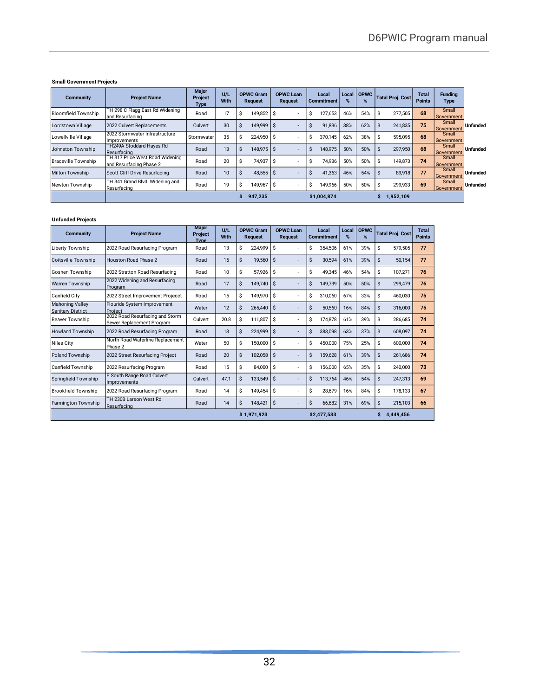#### **Small Government Projects**

| <b>Community</b>           | <b>Project Name</b>                                        | <b>Major</b><br><b>Project</b><br><b>Type</b> | U/I<br><b>With</b> | <b>OPWC Grant</b><br>Request | <b>OPWC Loan</b><br><b>Request</b> | Local<br><b>Commitment</b> | Local<br>% | <b>OPWC</b><br>% | <b>Total Proj. Cost</b> | <b>Total</b><br><b>Points</b> | <b>Fundina</b><br>Type |                 |
|----------------------------|------------------------------------------------------------|-----------------------------------------------|--------------------|------------------------------|------------------------------------|----------------------------|------------|------------------|-------------------------|-------------------------------|------------------------|-----------------|
| <b>Bloomfield Township</b> | TH 298 C Flagg East Rd Widening<br>and Resurfacing         | Road                                          | 17                 | 149.852 S<br>ъ.              | ٠                                  | 127,653<br>S               | 46%        | 54%              | 277,505<br>S            | 68                            | Small<br>Government    |                 |
| Lordstown Village          | 2022 Culvert Replacements                                  | Culvert                                       | 30                 | 149,999 \$<br>$\mathcal{L}$  | -                                  | 91,836<br>s                | 38%        | 62%              | 241,835                 | 75                            | Small<br>Government    | <b>Unfunded</b> |
| Lowellville Village        | 2022 Stormwater Infrastructure<br>Improvements             | Stormwater                                    | 35                 | 224.950 S<br>ъ.              | ۰                                  | 370.145<br>э.              | 62%        | 38%              | 595.095<br>S            | 68                            | Small<br>Government    |                 |
| Johnston Township          | TH249A Stoddard Hayes Rd<br>Resurfacing                    | Road                                          | 13                 | 148.975 \$<br>S.             | ٠                                  | 148.975<br>$\mathcal{L}$   | 50%        | 50%              | 297,950                 | 68                            | Small<br>Government    | <b>Unfunded</b> |
| <b>Braceville Township</b> | TH 317 Price West Road Widening<br>and Resurfacing Phase 2 | Road                                          | 20                 | 74,937<br>S                  | l S<br>٠                           | 74,936<br>S                | 50%        | 50%              | 149,873<br>S            | 74                            | Small<br>Government    |                 |
| <b>Milton Township</b>     | Scott Cliff Drive Resurfacing                              | Road                                          | 10                 | $48,555$ \$                  | ۰.                                 | 41,363<br>÷.               | 46%        | 54%              | 89,918                  | 77                            | Small<br>Government    | <b>Unfunded</b> |
| Newton Township            | TH 341 Grand Blvd. Widening and<br>Resurfacing             | Road                                          | 19                 | 149,967<br>S                 | l S<br>٠                           | 149,966<br>S               | 50%        | 50%              | 299,933                 | 69                            | Small<br>Government    | <b>Unfunded</b> |
|                            |                                                            |                                               |                    | 947,235                      |                                    | \$1,004,874                |            |                  | 1,952,109<br>S          |                               |                        |                 |

#### **Unfunded Projects**

| <b>Community</b>                            | <b>Project Name</b>                                          | <b>Major</b><br><b>Project</b><br><b>Type</b> | U/L<br>With |    | <b>OPWC Grant</b><br><b>Request</b> |    | <b>OPWC Loan</b><br><b>Request</b> |    | Local<br><b>Commitment</b> | Local<br>% | <b>OPWC</b><br>% |    | <b>Total Proj. Cost</b> | Total<br><b>Points</b> |
|---------------------------------------------|--------------------------------------------------------------|-----------------------------------------------|-------------|----|-------------------------------------|----|------------------------------------|----|----------------------------|------------|------------------|----|-------------------------|------------------------|
| Liberty Township                            | 2022 Road Resurfacing Program                                | Road                                          | 13          | Ś  | 224.999                             | Ŝ. | ٠                                  | Ś  | 354.506                    | 61%        | 39%              | \$ | 579.505                 | 77                     |
| Coitsville Township                         | <b>Houston Road Phase 2</b>                                  | Road                                          | 15          | Ś. | 19.560                              | Ś  | ٠                                  | \$ | 30.594                     | 61%        | 39%              | Ś. | 50,154                  | 77                     |
| Goshen Township                             | 2022 Stratton Road Resurfacing                               | Road                                          | 10          | \$ | 57,926                              | S. | ٠                                  | \$ | 49,345                     | 46%        | 54%              | \$ | 107,271                 | 76                     |
| <b>Warren Township</b>                      | 2022 Widening and Resurfacing<br>Program                     | Road                                          | 17          | Ś  | 149,740                             | Ŝ. | ٠                                  | Ś  | 149.739                    | 50%        | 50%              | Ś. | 299,479                 | 76                     |
| Canfield City                               | 2022 Street Improvement Projecct                             | Road                                          | 15          | \$ | 149,970                             | Ŝ. | ٠                                  | Ś  | 310,060                    | 67%        | 33%              | \$ | 460,030                 | 75                     |
| Mahoning Valley<br><b>Sanitary District</b> | Flouride System Improvement<br>Project                       | Water                                         | 12          | Ś  | 265.440                             | Ś  | ÷,                                 | Ś  | 50,560                     | 16%        | 84%              | Ś  | 316,000                 | 75                     |
| lBeaver Township                            | 2022 Road Resurfacing and Storm<br>Sewer Replacement Program | Culvert                                       | 20.8        | \$ | 111,807                             | \$ | $\overline{\phantom{a}}$           | \$ | 174,878                    | 61%        | 39%              | \$ | 286,685                 | 74                     |
| <b>Howland Township</b>                     | 2022 Road Resurfacing Program                                | Road                                          | 13          | Ś  | 224.999                             | Ŝ  | ÷,                                 | Ś  | 383.098                    | 63%        | 37%              | Ś. | 608.097                 | 74                     |
| Niles City                                  | North Road Waterline Replacement -<br>Phase 2                | Water                                         | 50          | Ś  | 150,000                             | Ŝ  | ٠                                  | Ś  | 450,000                    | 75%        | 25%              | \$ | 600,000                 | 74                     |
| <b>Poland Township</b>                      | 2022 Street Resurfacing Project                              | Road                                          | 20          | Ś  | 102,058                             | Ś  | ÷,                                 | Ś  | 159.628                    | 61%        | 39%              | Ś. | 261.686                 | 74                     |
| Canfield Township                           | 2022 Resurfacing Program                                     | Road                                          | 15          | \$ | 84,000                              | Ŝ. | ٠                                  | Ŝ  | 156,000                    | 65%        | 35%              | \$ | 240,000                 | 73                     |
| Springfield Township                        | E South Range Road Culvert<br>Improvements                   | Culvert                                       | 47.1        | Ś  | 133.549                             | Ś  | ٠                                  | Ś  | 113,764                    | 46%        | 54%              | \$ | 247,313                 | 69                     |
| <b>Brookfield Township</b>                  | 2022 Road Resurfacing Program                                | Road                                          | 14          | Ś. | 149,454                             | Ŝ  | ٠                                  | Ś  | 28,679                     | 16%        | 84%              | Ŝ  | 178,133                 | 67                     |
| <b>Farmington Township</b>                  | TH 230B Larson West Rd.<br>Resurfacing                       | Road                                          | 14          | \$ | 148.421                             | \$ | ٠                                  | \$ | 66.682                     | 31%        | 69%              | \$ | 215.103                 | 66                     |
|                                             |                                                              |                                               |             |    | \$1,971,923                         |    |                                    |    | \$2,477,533                |            |                  |    | 4,449,456               |                        |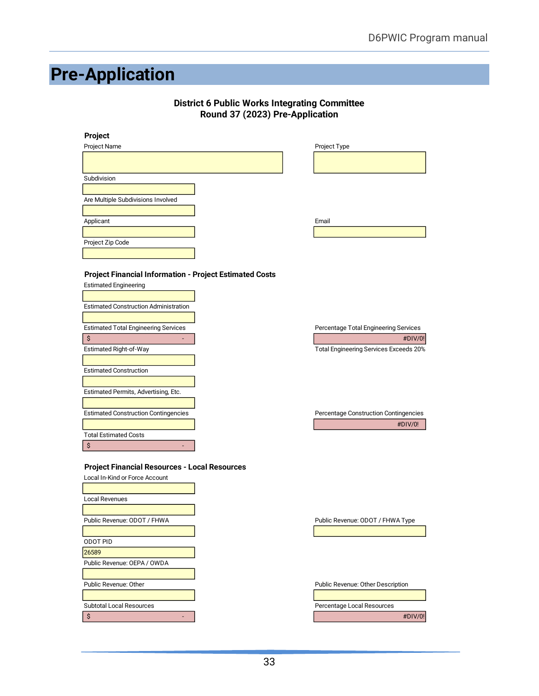# <span id="page-35-0"></span>**Pre-Application**

#### **District 6 Public Works Integrating Committee Round 37 (2023) Pre-Application**

| Project                                                        |                                        |
|----------------------------------------------------------------|----------------------------------------|
| Project Name                                                   | Project Type                           |
|                                                                |                                        |
| Subdivision                                                    |                                        |
|                                                                |                                        |
| Are Multiple Subdivisions Involved                             |                                        |
|                                                                |                                        |
| Applicant                                                      | Email                                  |
|                                                                |                                        |
| Project Zip Code                                               |                                        |
|                                                                |                                        |
| <b>Project Financial Information - Project Estimated Costs</b> |                                        |
| <b>Estimated Engineering</b>                                   |                                        |
|                                                                |                                        |
| <b>Estimated Construction Administration</b>                   |                                        |
|                                                                |                                        |
| <b>Estimated Total Engineering Services</b>                    | Percentage Total Engineering Services  |
| \$                                                             | #DIV/0!                                |
| Estimated Right-of-Way                                         | Total Engineering Services Exceeds 20% |
|                                                                |                                        |
| <b>Estimated Construction</b>                                  |                                        |
|                                                                |                                        |
| Estimated Permits, Advertising, Etc.                           |                                        |
|                                                                |                                        |
| <b>Estimated Construction Contingencies</b>                    | Percentage Construction Contingencies  |
|                                                                | #DIV/0!                                |
| <b>Total Estimated Costs</b>                                   |                                        |
| \$<br>٠                                                        |                                        |
| <b>Project Financial Resources - Local Resources</b>           |                                        |
| Local In-Kind or Force Account                                 |                                        |
|                                                                |                                        |
| Local Revenues                                                 |                                        |
|                                                                |                                        |
| Public Revenue: ODOT / FHWA                                    | Public Revenue: ODOT / FHWA Type       |
|                                                                |                                        |
| <b>ODOT PID</b>                                                |                                        |
| 26589                                                          |                                        |
| Public Revenue: OEPA / OWDA                                    |                                        |
|                                                                |                                        |
| Public Revenue: Other                                          | Public Revenue: Other Description      |
|                                                                |                                        |
| <b>Subtotal Local Resources</b>                                | Percentage Local Resources             |
| \$                                                             | #DIV/0!                                |
|                                                                |                                        |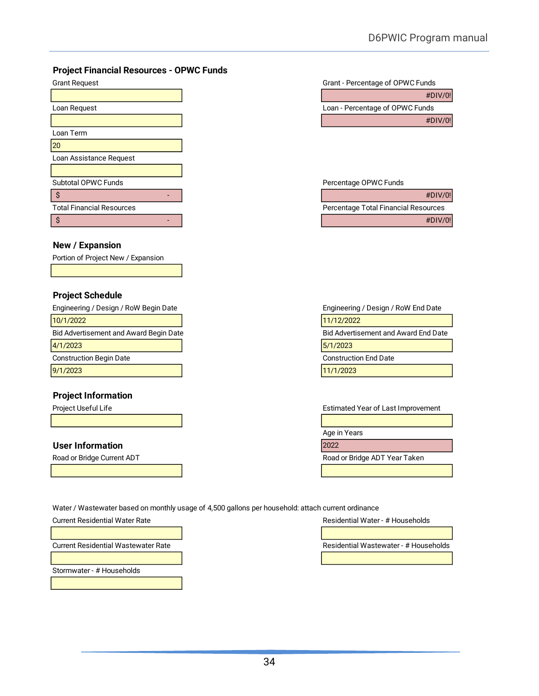#### **Project Financial Resources - OPWC Funds**

| <b>Grant Request</b>             |  | Grant - Percentage of OPWC Funds     |
|----------------------------------|--|--------------------------------------|
|                                  |  | #DIV/0!                              |
| Loan Request                     |  | Loan - Percentage of OPWC Funds      |
|                                  |  | #DIV/0!                              |
| Loan Term                        |  |                                      |
|                                  |  |                                      |
| Loan Assistance Request          |  |                                      |
|                                  |  |                                      |
| Subtotal OPWC Funds              |  | Percentage OPWC Funds                |
|                                  |  | #DIV/0!                              |
| <b>Total Financial Resources</b> |  | Percentage Total Financial Resources |
|                                  |  | #DIV/0!                              |

#### **New / Expansion**

Portion of Project New / Expansion

#### **Project Schedule**

10/1/2022 11/12/2022 Bid Advertisement and Award Begin Date **Bid Advertisement and Award End Date** Bid Advertisement and Award End Date | **4/1/2023** | **5/1/2023** | **5/1/2023** | **5/1/2023** | **5/1/2023** | **5/1/2023** | **5/1/2023** | **5/1/2023** | **5/1/2023** | **5/1/2023** | **5/1/2023** | **5/1/2023** | **5/1/2023** | **5/1/2023** | **5/1/2023** | **5/1/2023** | **5/1/2023** | Construction Begin Date Construction End Date 9/1/2023 11/1/2023

#### **Project Information**

#### **User Information** 2022

| #DIV/0!                         |
|---------------------------------|
| Loan - Percentage of OPWC Funds |
| #DIV/0!                         |

#### Percentage OPWC Funds

|                          |  | #DIV/0!                              |
|--------------------------|--|--------------------------------------|
| otal Financial Resources |  | Percentage Total Financial Resources |
|                          |  | #DIV/0!                              |

Engineering / Design / RoW Begin Date Engineering / Design / RoW End Date

Project Useful Life **Estimated Year of Last Improvement** 

Age in Years

Road or Bridge Current ADT **Road or Bridge ADT Year Taken** 

Water / Wastewater based on monthly usage of 4,500 gallons per household: attach current ordinance

Current Residential Water Rate Residential Water - # Households

Stormwater - # Households

Current Residential Wastewater Rate **Residential Wastewater - # Households** Residential Wastewater - # Households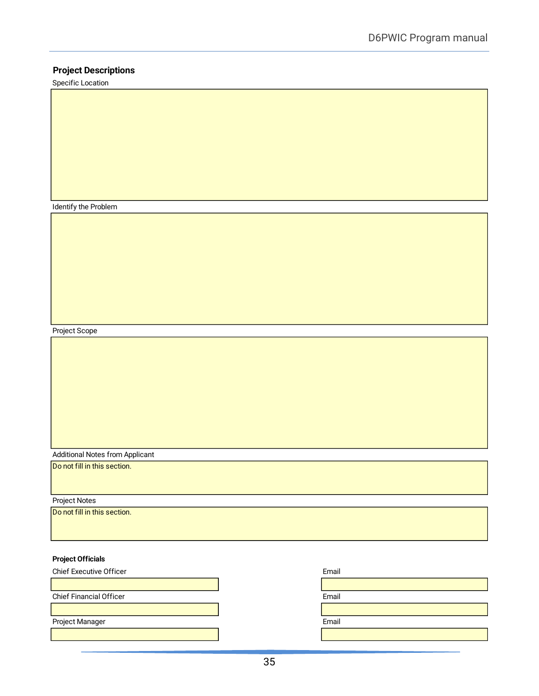#### **Project Descriptions**

Specific Location

Identify the Problem

Project Scope

Additional Notes from Applicant

Do not fill in this section.

Project Notes

Do not fill in this section.

#### **Project Officials**

| <b>Chief Executive Officer</b> | Email |
|--------------------------------|-------|
|                                |       |
| <b>Chief Financial Officer</b> | Email |
|                                |       |
| Project Manager                | Email |
|                                |       |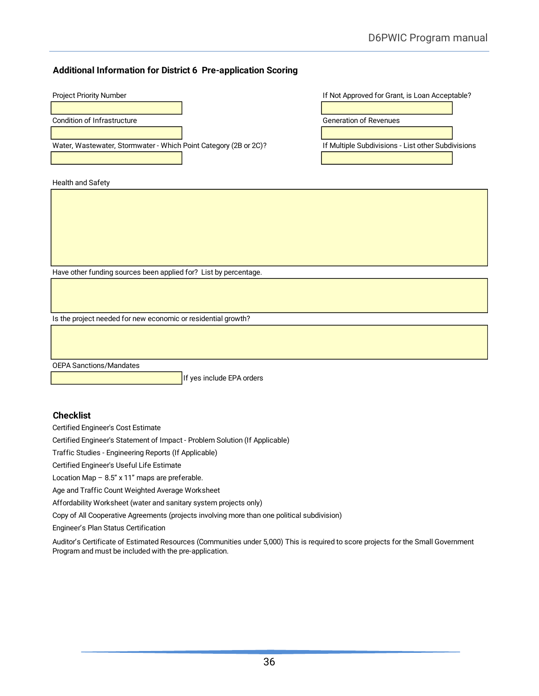#### **Additional Information for District 6 Pre-application Scoring**

| <b>Project Priority Number</b>                                   | If Not Approved for Grant, is Loan Acceptable?     |
|------------------------------------------------------------------|----------------------------------------------------|
|                                                                  |                                                    |
| Condition of Infrastructure                                      | <b>Generation of Revenues</b>                      |
|                                                                  |                                                    |
| Water, Wastewater, Stormwater - Which Point Category (2B or 2C)? | If Multiple Subdivisions - List other Subdivisions |
|                                                                  |                                                    |
|                                                                  |                                                    |
| Health and Safety                                                |                                                    |
|                                                                  |                                                    |
|                                                                  |                                                    |
|                                                                  |                                                    |
|                                                                  |                                                    |
|                                                                  |                                                    |
|                                                                  |                                                    |
| Have other funding sources been applied for? List by percentage. |                                                    |
|                                                                  |                                                    |
|                                                                  |                                                    |
|                                                                  |                                                    |
| Is the project needed for new economic or residential growth?    |                                                    |
|                                                                  |                                                    |
|                                                                  |                                                    |

OEPA Sanctions/Mandates

If yes include EPA orders

#### **Checklist**

Certified Engineer's Cost Estimate

Certified Engineer's Statement of Impact - Problem Solution (If Applicable)

Traffic Studies - Engineering Reports (If Applicable)

Certified Engineer's Useful Life Estimate

Location Map  $-8.5$ " x 11" maps are preferable.

Age and Traffic Count Weighted Average Worksheet

Affordability Worksheet (water and sanitary system projects only)

Copy of All Cooperative Agreements (projects involving more than one political subdivision)

Engineer's Plan Status Certification

Auditor's Certificate of Estimated Resources (Communities under 5,000) This is required to score projects for the Small Government Program and must be included with the pre-application.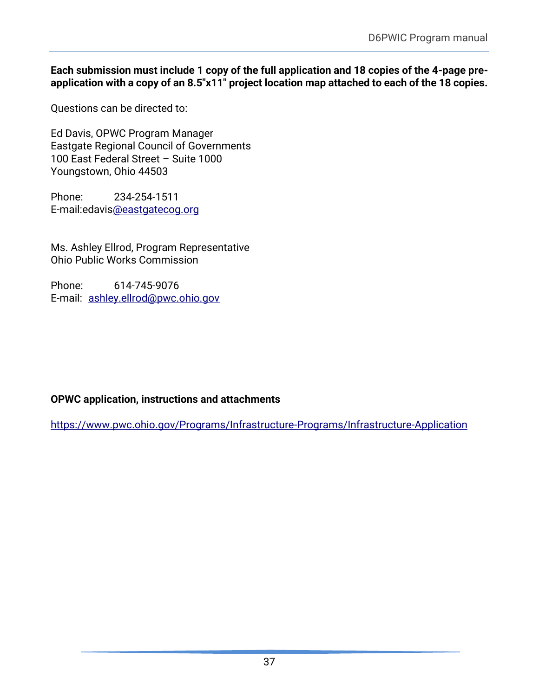#### **Each submission must include 1 copy of the full application and 18 copies of the 4-page preapplication with a copy of an 8.5"x11" project location map attached to each of the 18 copies.**

Questions can be directed to:

Ed Davis, OPWC Program Manager Eastgate Regional Council of Governments 100 East Federal Street – Suite 1000 Youngstown, Ohio 44503

Phone: 234-254-1511 E-mail:edavi[s@eastgatecog.org](mailto:jwells@eastgatecog.org)

Ms. Ashley Ellrod, Program Representative Ohio Public Works Commission

Phone: 614-745-9076 E-mail: [ashley.ellrod@pwc.ohio.gov](mailto:ashley.ellrod@pwc.ohio.gov)

## **OPWC application, instructions and attachments**

<https://www.pwc.ohio.gov/Programs/Infrastructure-Programs/Infrastructure-Application>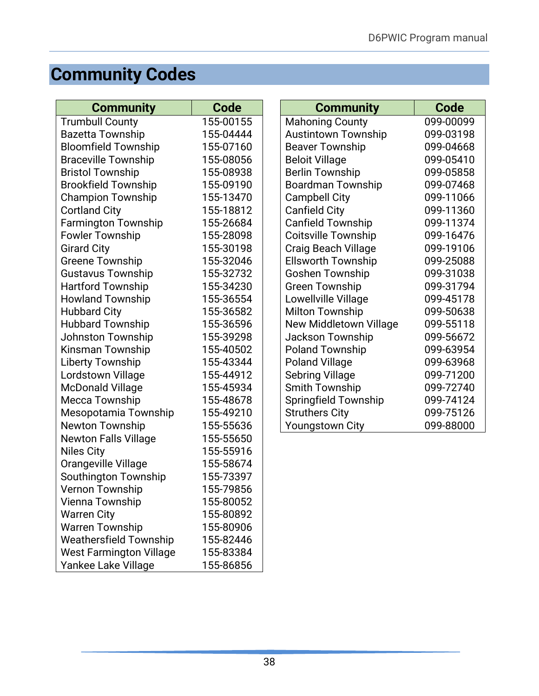# <span id="page-40-0"></span>**Community Codes**

| <b>Community</b>               | Code      | <b>Community</b>           | Code      |
|--------------------------------|-----------|----------------------------|-----------|
| <b>Trumbull County</b>         | 155-00155 | <b>Mahoning County</b>     | 099-00099 |
| <b>Bazetta Township</b>        | 155-04444 | <b>Austintown Township</b> | 099-03198 |
| <b>Bloomfield Township</b>     | 155-07160 | <b>Beaver Township</b>     | 099-04668 |
| <b>Braceville Township</b>     | 155-08056 | <b>Beloit Village</b>      | 099-05410 |
| <b>Bristol Township</b>        | 155-08938 | <b>Berlin Township</b>     | 099-05858 |
| <b>Brookfield Township</b>     | 155-09190 | <b>Boardman Township</b>   | 099-07468 |
| <b>Champion Township</b>       | 155-13470 | <b>Campbell City</b>       | 099-11066 |
| <b>Cortland City</b>           | 155-18812 | <b>Canfield City</b>       | 099-11360 |
| <b>Farmington Township</b>     | 155-26684 | <b>Canfield Township</b>   | 099-11374 |
| <b>Fowler Township</b>         | 155-28098 | <b>Coitsville Township</b> | 099-16476 |
| <b>Girard City</b>             | 155-30198 | <b>Craig Beach Village</b> | 099-19106 |
| <b>Greene Township</b>         | 155-32046 | <b>Ellsworth Township</b>  | 099-25088 |
| <b>Gustavus Township</b>       | 155-32732 | <b>Goshen Township</b>     | 099-31038 |
| <b>Hartford Township</b>       | 155-34230 | <b>Green Township</b>      | 099-31794 |
| <b>Howland Township</b>        | 155-36554 | Lowellville Village        | 099-45178 |
| <b>Hubbard City</b>            | 155-36582 | <b>Milton Township</b>     | 099-50638 |
| <b>Hubbard Township</b>        | 155-36596 | New Middletown Village     | 099-55118 |
| Johnston Township              | 155-39298 | <b>Jackson Township</b>    | 099-56672 |
| Kinsman Township               | 155-40502 | <b>Poland Township</b>     | 099-63954 |
| <b>Liberty Township</b>        | 155-43344 | <b>Poland Village</b>      | 099-63968 |
| Lordstown Village              | 155-44912 | <b>Sebring Village</b>     | 099-71200 |
| <b>McDonald Village</b>        | 155-45934 | Smith Township             | 099-72740 |
| <b>Mecca Township</b>          | 155-48678 | Springfield Township       | 099-74124 |
| Mesopotamia Township           | 155-49210 | <b>Struthers City</b>      | 099-75126 |
| <b>Newton Township</b>         | 155-55636 | Youngstown City            | 099-88000 |
| <b>Newton Falls Village</b>    | 155-55650 |                            |           |
| <b>Niles City</b>              | 155-55916 |                            |           |
| Orangeville Village            | 155-58674 |                            |           |
| Southington Township           | 155-73397 |                            |           |
| Vernon Township                | 155-79856 |                            |           |
| Vienna Township                | 155-80052 |                            |           |
| <b>Warren City</b>             | 155-80892 |                            |           |
| <b>Warren Township</b>         | 155-80906 |                            |           |
| <b>Weathersfield Township</b>  | 155-82446 |                            |           |
| <b>West Farmington Village</b> | 155-83384 |                            |           |
| Yankee Lake Village            | 155-86856 |                            |           |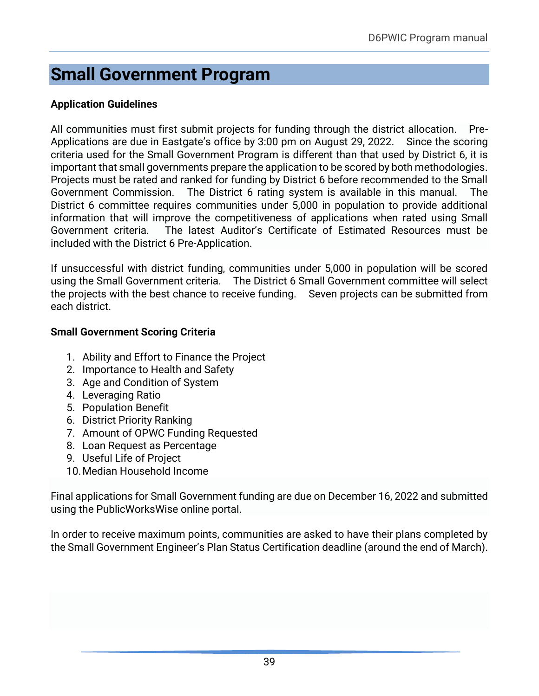# <span id="page-41-0"></span>**Small Government Program**

## **Application Guidelines**

All communities must first submit projects for funding through the district allocation. Pre-Applications are due in Eastgate's office by 3:00 pm on August 29, 2022. Since the scoring criteria used for the Small Government Program is different than that used by District 6, it is important that small governments prepare the application to be scored by both methodologies. Projects must be rated and ranked for funding by District 6 before recommended to the Small Government Commission. The District 6 rating system is available in this manual. The District 6 committee requires communities under 5,000 in population to provide additional information that will improve the competitiveness of applications when rated using Small Government criteria. The latest Auditor's Certificate of Estimated Resources must be included with the District 6 Pre-Application.

If unsuccessful with district funding, communities under 5,000 in population will be scored using the Small Government criteria. The District 6 Small Government committee will select the projects with the best chance to receive funding. Seven projects can be submitted from each district.

### **Small Government Scoring Criteria**

- 1. Ability and Effort to Finance the Project
- 2. Importance to Health and Safety
- 3. Age and Condition of System
- 4. Leveraging Ratio
- 5. Population Benefit
- 6. District Priority Ranking
- 7. Amount of OPWC Funding Requested
- 8. Loan Request as Percentage
- 9. Useful Life of Project
- 10.Median Household Income

Final applications for Small Government funding are due on December 16, 2022 and submitted using the PublicWorksWise online portal.

In order to receive maximum points, communities are asked to have their plans completed by the Small Government Engineer's Plan Status Certification deadline (around the end of March).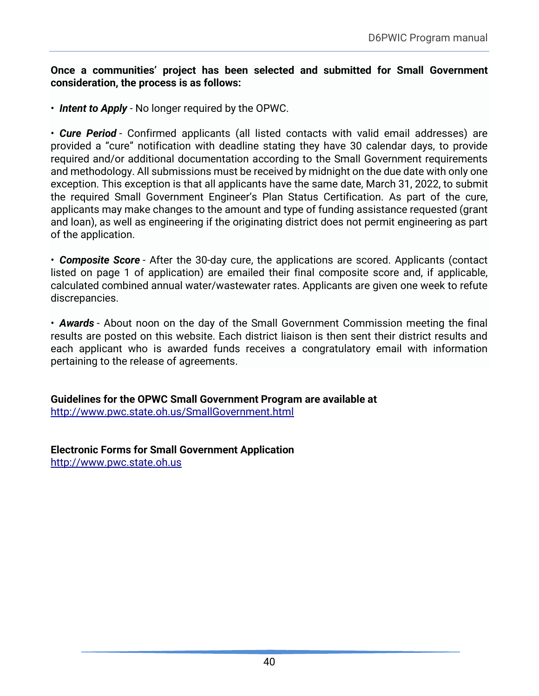#### **Once a communities' project has been selected and submitted for Small Government consideration, the process is as follows:**

• *Intent to Apply* - No longer required by the OPWC.

• *Cure Period* - Confirmed applicants (all listed contacts with valid email addresses) are provided a "cure" notification with deadline stating they have 30 calendar days, to provide required and/or additional documentation according to the Small Government requirements and methodology. All submissions must be received by midnight on the due date with only one exception. This exception is that all applicants have the same date, March 31, 2022, to submit the required Small Government Engineer's Plan Status Certification. As part of the cure, applicants may make changes to the amount and type of funding assistance requested (grant and loan), as well as engineering if the originating district does not permit engineering as part of the application.

• *Composite Score* - After the 30-day cure, the applications are scored. Applicants (contact listed on page 1 of application) are emailed their final composite score and, if applicable, calculated combined annual water/wastewater rates. Applicants are given one week to refute discrepancies.

• *Awards* - About noon on the day of the Small Government Commission meeting the final results are posted on this website. Each district liaison is then sent their district results and each applicant who is awarded funds receives a congratulatory email with information pertaining to the release of agreements.

**Guidelines for the OPWC Small Government Program are available at** <http://www.pwc.state.oh.us/SmallGovernment.html>

**Electronic Forms for Small Government Application** [http://www.pwc.state.oh.us](http://www.pwc.state.oh.us/)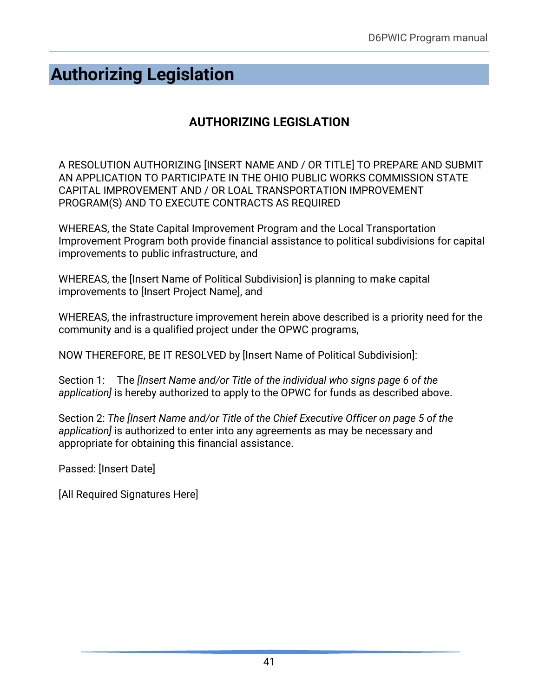# <span id="page-43-0"></span>**Authorizing Legislation**

## **AUTHORIZING LEGISLATION**

A RESOLUTION AUTHORIZING [INSERT NAME AND / OR TITLE] TO PREPARE AND SUBMIT AN APPLICATION TO PARTICIPATE IN THE OHIO PUBLIC WORKS COMMISSION STATE CAPITAL IMPROVEMENT AND / OR LOAL TRANSPORTATION IMPROVEMENT PROGRAM(S) AND TO EXECUTE CONTRACTS AS REQUIRED

WHEREAS, the State Capital Improvement Program and the Local Transportation Improvement Program both provide financial assistance to political subdivisions for capital improvements to public infrastructure, and

WHEREAS, the [Insert Name of Political Subdivision] is planning to make capital improvements to [Insert Project Name], and

WHEREAS, the infrastructure improvement herein above described is a priority need for the community and is a qualified project under the OPWC programs,

NOW THEREFORE, BE IT RESOLVED by [Insert Name of Political Subdivision]:

Section 1: The *[Insert Name and/or Title of the individual who signs page 6 of the application]* is hereby authorized to apply to the OPWC for funds as described above.

Section 2: *The [Insert Name and/or Title of the Chief Executive Officer on page 5 of the application]* is authorized to enter into any agreements as may be necessary and appropriate for obtaining this financial assistance.

Passed: [Insert Date]

[All Required Signatures Here]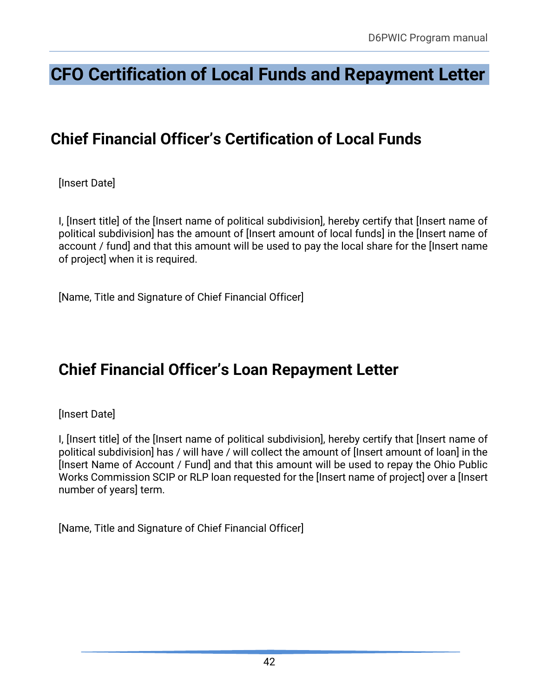# <span id="page-44-0"></span>**CFO Certification of Local Funds and Repayment Letter**

# **Chief Financial Officer's Certification of Local Funds**

[Insert Date]

I, [Insert title] of the [Insert name of political subdivision], hereby certify that [Insert name of political subdivision] has the amount of [Insert amount of local funds] in the [Insert name of account / fund] and that this amount will be used to pay the local share for the [Insert name of project] when it is required.

[Name, Title and Signature of Chief Financial Officer]

# **Chief Financial Officer's Loan Repayment Letter**

[Insert Date]

I, [Insert title] of the [Insert name of political subdivision], hereby certify that [Insert name of political subdivision] has / will have / will collect the amount of [Insert amount of loan] in the [Insert Name of Account / Fund] and that this amount will be used to repay the Ohio Public Works Commission SCIP or RLP loan requested for the [Insert name of project] over a [Insert number of years] term.

[Name, Title and Signature of Chief Financial Officer]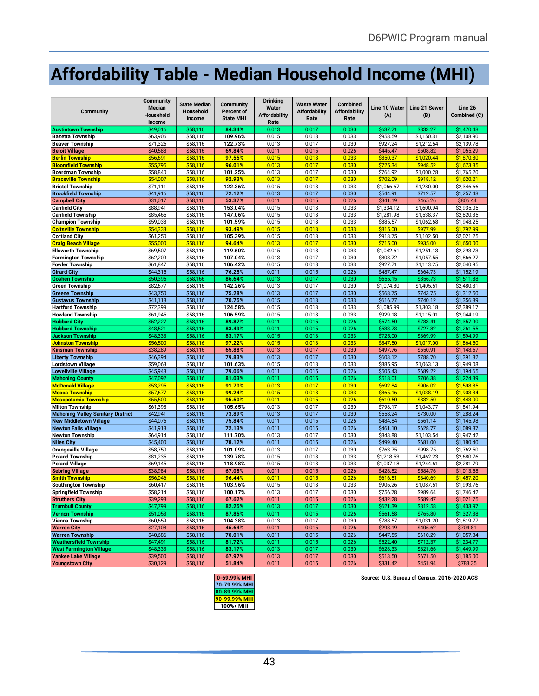# <span id="page-45-0"></span>**Affordability Table - Median Household Income (MHI)**

| Community                                            | <b>Community</b><br>Median<br>Household<br>Income | <b>State Median</b><br><b>Household</b><br>Income | Community<br>Percent of<br><b>State MHI</b> | <b>Drinking</b><br>Water<br><b>Affordability</b><br>Rate | <b>Waste Water</b><br><b>Affordability</b><br>Rate | Combined<br><b>Affordability</b><br>Rate | Line 10 Water<br>(A) | Line 21 Sewer<br>(B) | Line 26<br>Combined (C) |
|------------------------------------------------------|---------------------------------------------------|---------------------------------------------------|---------------------------------------------|----------------------------------------------------------|----------------------------------------------------|------------------------------------------|----------------------|----------------------|-------------------------|
| <b>Austintown Township</b>                           | \$49,016                                          | \$58,116                                          | 84.34%                                      | 0.013                                                    | 0.017                                              | 0.030                                    | \$637.21             | \$833.27             | \$1,470.48              |
| <b>Bazetta Township</b>                              | \$63,906                                          | \$58,116                                          | 109.96%                                     | 0.015                                                    | 0.018                                              | 0.033                                    | \$958.59             | \$1,150.31           | \$2,108.90              |
| <b>Beaver Township</b>                               | \$71,326                                          | \$58,116                                          | 122.73%                                     | 0.013                                                    | 0.017                                              | 0.030                                    | \$927.24             | \$1,212.54           | \$2,139.78              |
| <b>Beloit Village</b>                                | \$40,588                                          | \$58,116                                          | 69.84%                                      | 0.011                                                    | 0.015                                              | 0.026                                    | \$446.47             | \$608.82             | \$1,055.29              |
| <b>Berlin Township</b>                               | \$56,691                                          | \$58,116                                          | 97.55%                                      | 0.015                                                    | 0.018                                              | 0.033                                    | \$850.37             | \$1,020.44           | \$1,870.80              |
| <b>Bloomfield Township</b>                           | \$55,795                                          | \$58,116                                          | 96.01%                                      | 0.013                                                    | 0.017                                              | 0.030                                    | \$725.34             | \$948.52             | \$1,673.85              |
| <b>Boardman Township</b>                             | \$58,840                                          | \$58,116                                          | 101.25%                                     | 0.013                                                    | 0.017                                              | 0.030                                    | \$764.92             | \$1,000.28           | \$1,765.20              |
| <b>Braceville Township</b>                           | \$54,007                                          | \$58,116                                          | 92.93%                                      | 0.013                                                    | 0.017                                              | 0.030                                    | \$702.09             | \$918.12             | \$1,620.21              |
| <b>Bristol Township</b>                              | \$71,111                                          | \$58,116                                          | 122.36%                                     | 0.015                                                    | 0.018                                              | 0.033                                    | \$1,066.67           | \$1,280.00           | \$2,346.66              |
| <b>Brookfield Township</b>                           | \$41,916                                          | \$58,116                                          | 72.12%                                      | 0.013                                                    | 0.017                                              | 0.030                                    | \$544.91             | \$712.57             | \$1.257.48              |
| <b>Campbell City</b>                                 | \$31,017                                          | \$58,116                                          | 53.37%                                      | 0.011                                                    | 0.015                                              | 0.026                                    | \$341.19             | \$465.26             | \$806.44                |
| <b>Canfield City</b>                                 | \$88,941                                          | \$58,116                                          | 153.04%                                     | 0.015                                                    | 0.018                                              | 0.033                                    | \$1,334.12           | \$1,600.94           | \$2,935.05              |
| <b>Canfield Township</b>                             | \$85,465                                          | \$58,116                                          | 147.06%                                     | 0.015                                                    | 0.018                                              | 0.033                                    | \$1,281.98           | \$1,538.37           | \$2,820.35              |
| <b>Champion Township</b>                             | \$59,038                                          | \$58,116                                          | 101.59%                                     | 0.015                                                    | 0.018                                              | 0.033                                    | \$885.57             | \$1,062.68           | \$1,948.25              |
| <b>Coitsville Township</b>                           | \$54,333                                          | \$58,116                                          | 93.49%                                      | 0.015                                                    | 0.018                                              | 0.033                                    | \$815.00             | \$977.99             | \$1,792.99              |
| <b>Cortland City</b>                                 | \$61,250                                          | \$58,116                                          | 105.39%                                     | 0.015                                                    | 0.018                                              | 0.033                                    | \$918.75             | \$1,102.50           | \$2,021.25              |
| <b>Craig Beach Village</b>                           | \$55,000                                          | \$58,116                                          | 94.64%                                      | 0.013                                                    | 0.017                                              | 0.030                                    | \$715.00             | \$935.00             | \$1,650.00              |
| <b>Ellsworth Township</b>                            | \$69,507                                          | \$58,116                                          | 119.60%                                     | 0.015                                                    | 0.018                                              | 0.033                                    | \$1,042.61           | \$1,251.13           | \$2,293.73              |
|                                                      | \$62,209                                          | \$58,116                                          | 107.04%                                     | 0.013                                                    | 0.017                                              | 0.030                                    | \$808.72             | \$1,057.55           | \$1,866.27              |
| <b>Farmington Township</b><br><b>Fowler Township</b> | \$61,847                                          | \$58,116                                          | 106.42%                                     | 0.015                                                    | 0.018                                              | 0.033                                    | \$927.71             | \$1,113.25           | \$2,040.95              |
|                                                      | \$44,315                                          | \$58,116                                          | 76.25%                                      | 0.011                                                    | 0.015                                              | 0.026                                    | \$487.47             | \$664.73             | \$1,152.19              |
| <b>Girard City</b><br><b>Goshen Township</b>         | \$50,396                                          | \$58,166                                          | 86.64%                                      | 0.013                                                    | 0.017                                              | 0.030                                    | \$655.15             | \$856.73             | \$1,511.88              |
|                                                      |                                                   |                                                   | 142.26%                                     |                                                          |                                                    |                                          |                      |                      |                         |
| <b>Green Township</b>                                | \$82,677                                          | \$58,116                                          | 75.28%                                      | 0.013                                                    | 0.017                                              | 0.030                                    | \$1,074.80           | \$1,405.51           | \$2,480.31              |
| <b>Greene Township</b>                               | \$43,750                                          | \$58,116                                          |                                             | 0.013                                                    | 0.017                                              | 0.030                                    | \$568.75             | \$743.75             | \$1,312.50              |
| <b>Gustavus Township</b>                             | \$41,118                                          | \$58,116                                          | 70.75%                                      | 0.015                                                    | 0.018                                              | 0.033                                    | \$616.77             | \$740.12             | \$1,356.89              |
| <b>Hartford Township</b>                             | \$72,399                                          | \$58,116                                          | 124.58%                                     | 0.015                                                    | 0.018                                              | 0.033                                    | \$1,085.99           | \$1,303.18           | \$2,389.17              |
| <b>Howland Township</b>                              | \$61,945                                          | \$58,116                                          | 106.59%                                     | 0.015                                                    | 0.018                                              | 0.033                                    | \$929.18             | \$1,115.01           | \$2,044.19              |
| <b>Hubbard City</b>                                  | \$52,227                                          | \$58.116                                          | 89.87%                                      | 0.011                                                    | 0.015                                              | 0.026                                    | \$574.50             | \$783.41             | \$1,357.90              |
| <b>Hubbard Township</b>                              | \$48,521                                          | \$58,116                                          | 83.49%                                      | 0.011                                                    | 0.015                                              | 0.026                                    | \$533.73             | \$727.82             | \$1,261.55              |
| <b>Jackson Township</b>                              | \$48,333                                          | \$58,116                                          | 83.17%                                      | 0.015                                                    | 0.018                                              | 0.033                                    | \$725.00             | \$869.99             | \$1,594.99              |
| Johnston Township                                    | \$56,500                                          | \$58,116                                          | 97.22%                                      | 0.015                                                    | 0.018                                              | 0.033                                    | \$847.50             | \$1,017.00           | \$1.864.50              |
| <b>Kinsman Township</b>                              | \$38,289                                          | \$58,116                                          | 65.88%                                      | 0.013                                                    | 0.017                                              | 0.030                                    | \$497.76             | \$650.91             | \$1,148.67              |
| <b>Liberty Township</b>                              | \$46,394                                          | \$58,116                                          | 79.83%                                      | 0.013                                                    | 0.017                                              | 0.030                                    | \$603.12             | \$788.70             | \$1,391.82              |
| <b>Lordstown Village</b>                             | \$59,063                                          | \$58,116                                          | 101.63%                                     | 0.015                                                    | 0.018                                              | 0.033                                    | \$885.95             | \$1,063.13           | \$1,949.08              |
| <b>Lowellville Village</b>                           | \$45,948                                          | \$58,116                                          | 79.06%                                      | 0.011                                                    | 0.015                                              | 0.026                                    | \$505.43             | \$689.22             | \$1,194.65              |
| <b>Mahoning County</b>                               | \$47,092                                          | \$58,116                                          | 81.03%                                      | 0.011                                                    | 0.015                                              | 0.026                                    | \$518.01             | \$706.38             | \$1,224.39              |
| <b>McDonald Village</b>                              | \$53,295                                          | \$58,116                                          | 91.70%                                      | 0.013                                                    | 0.017                                              | 0.030                                    | \$692.84             | \$906.02             | \$1,598.85              |
| <b>Mecca Township</b>                                | \$57,677                                          | \$58,116                                          | 99.24%                                      | 0.015                                                    | 0.018                                              | 0.033                                    | \$865.16             | \$1,038.19           | \$1,903.34              |
| <b>Mesopotamia Township</b>                          | \$55,500                                          | \$58,116                                          | 95.50%                                      | 0.011                                                    | 0.015                                              | 0.026                                    | \$610.50             | \$832.50             | \$1,443.00              |
| <b>Milton Township</b>                               | \$61,398                                          | \$58,116                                          | 105.65%                                     | 0.013                                                    | 0.017                                              | 0.030                                    | \$798.17             | \$1,043.77           | \$1,841.94              |
| <b>Mahoning Valley Sanitary District</b>             | \$42,941                                          | \$58,116                                          | 73.89%                                      | 0.013                                                    | 0.017                                              | 0.030                                    | \$558.24             | \$730.00             | \$1,288.24              |
| <b>New Middletown Village</b>                        | \$44,076                                          | \$58,116                                          | 75.84%                                      | 0.011                                                    | 0.015                                              | 0.026                                    | \$484.84             | \$661.14             | \$1,145.98              |
| <b>Newton Falls Village</b>                          | \$41,918                                          | \$58,116                                          | 72.13%                                      | 0.011                                                    | 0.015                                              | 0.026                                    | \$461.10             | \$628.77             | \$1,089.87              |
| <b>Newton Township</b>                               | \$64,914                                          | \$58,116                                          | 111.70%                                     | 0.013                                                    | 0.017                                              | 0.030                                    | \$843.88             | \$1,103.54           | \$1,947.42              |
| <b>Niles City</b>                                    | \$45,400                                          | \$58,116                                          | 78.12%                                      | 0.011                                                    | 0.015                                              | 0.026                                    | \$499.40             | \$681.00             | \$1,180.40              |
| <b>Orangeville Village</b>                           | \$58,750                                          | \$58,116                                          | 101.09%                                     | 0.013                                                    | 0.017                                              | 0.030                                    | \$763.75             | \$998.75             | \$1,762.50              |
| <b>Poland Township</b>                               | \$81,235                                          | \$58,116                                          | 139.78%                                     | 0.015                                                    | 0.018                                              | 0.033                                    | \$1,218.53           | \$1,462.23           | \$2,680.76              |
| <b>Poland Village</b>                                | \$69,145                                          | \$58,116                                          | 118.98%                                     | 0.015                                                    | 0.018                                              | 0.033                                    | \$1,037.18           | \$1,244.61           | \$2,281.79              |
| <b>Sebring Village</b>                               | \$38,984                                          | \$58,116                                          | 67.08%                                      | 0.011                                                    | 0.015                                              | 0.026                                    | \$428.82             | \$584.76             | \$1,013.58              |
| <b>Smith Township</b>                                | \$56,046                                          | \$58,116                                          | 96.44%                                      | 0.011                                                    | 0.015                                              | 0.026                                    | \$616.51             | \$840.69             | \$1,457.20              |
| <b>Southington Township</b>                          | \$60,417                                          | \$58,116                                          | 103.96%                                     | 0.015                                                    | 0.018                                              | 0.033                                    | \$906.26             | \$1,087.51           | \$1,993.76              |
| Springfield Township                                 | \$58,214                                          | \$58,116                                          | 100.17%                                     | 0.013                                                    | 0.017                                              | 0.030                                    | \$756.78             | \$989.64             | \$1,746.42              |
| <b>Struthers City</b>                                | \$39,298                                          | \$58,116                                          | 67.62%                                      | 0.011                                                    | 0.015                                              | 0.026                                    | \$432.28             | \$589.47             | \$1,021.75              |
| <b>Trumbull County</b>                               | \$47,799                                          | \$58,116                                          | 82.25%                                      | 0.013                                                    | 0.017                                              | 0.030                                    | \$621.39             | \$812.58             | \$1,433.97              |
| <b>Vernon Township</b>                               | \$51,053                                          | \$58,116                                          | 87.85%                                      | 0.011                                                    | 0.015                                              | 0.026                                    | \$561.58             | \$765.80             | \$1,327.38              |
| Vienna Township                                      | \$60,659                                          | \$58,116                                          | 104.38%                                     | 0.013                                                    | 0.017                                              | 0.030                                    | \$788.57             | \$1,031.20           | \$1,819.77              |
| <b>Warren City</b>                                   | \$27,108                                          | \$58,116                                          | 46.64%                                      | 0.011                                                    | 0.015                                              | 0.026                                    | \$298.19             | \$406.62             | \$704.81                |
| <b>Warren Township</b>                               | \$40,686                                          | \$58,116                                          | 70.01%                                      | 0.011                                                    | 0.015                                              | 0.026                                    | \$447.55             | \$610.29             | \$1,057.84              |
| <b>Weathersfield Township</b>                        | \$47,491                                          | \$58,116                                          | 81.72%                                      | 0.011                                                    | 0.015                                              | 0.026                                    | \$522.40             | \$712.37             | \$1,234.77              |
| <b>West Farmington Village</b>                       | \$48,333                                          | \$58,116                                          | 83.17%                                      | 0.013                                                    | 0.017                                              | 0.030                                    | \$628.33             | \$821.66             | \$1,449.99              |
| Yankee Lake Village                                  | \$39,500                                          | \$58,116                                          | 67.97%                                      | 0.013                                                    | 0.017                                              | 0.030                                    | \$513.50             | \$671.50             | \$1,185.00              |
| <b>Youngstown City</b>                               | \$30,129                                          | \$58,116                                          | 51.84%                                      | 0.011                                                    | 0.015                                              | 0.026                                    | \$331.42             | \$451.94             | \$783.35                |



**0-69.99% MHI Source: U.S. Bureau of Census, 2016-2020 ACS**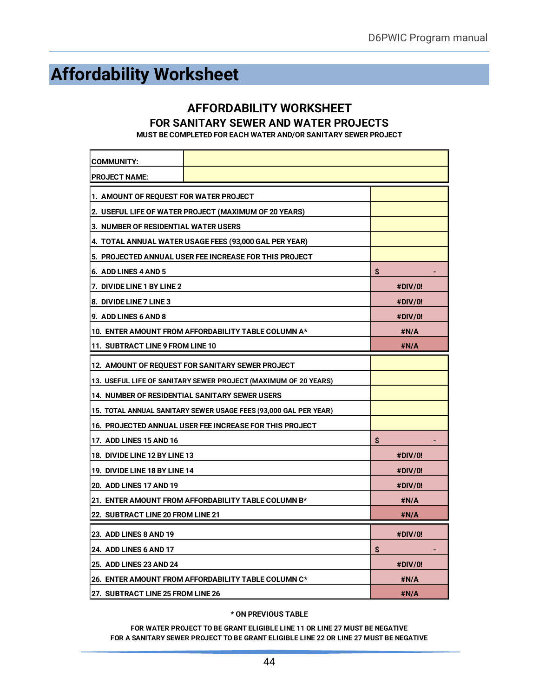# <span id="page-46-0"></span>**Affordability Worksheet**

### **AFFORDABILITY WORKSHEET FOR SANITARY SEWER AND WATER PROJECTS**

**MUST BE COMPLETED FOR EACH WATER AND/OR SANITARY SEWER PROJECT**

| <b>COMMUNITY:</b>                                                |                                                        |         |  |  |  |  |
|------------------------------------------------------------------|--------------------------------------------------------|---------|--|--|--|--|
| <b>PROJECT NAME:</b>                                             |                                                        |         |  |  |  |  |
| 1. AMOUNT OF REQUEST FOR WATER PROJECT                           |                                                        |         |  |  |  |  |
| 2. USEFUL LIFE OF WATER PROJECT (MAXIMUM OF 20 YEARS)            |                                                        |         |  |  |  |  |
|                                                                  | 3. NUMBER OF RESIDENTIAL WATER USERS                   |         |  |  |  |  |
|                                                                  | 4. TOTAL ANNUAL WATER USAGE FEES (93,000 GAL PER YEAR) |         |  |  |  |  |
| 5. PROJECTED ANNUAL USER FEE INCREASE FOR THIS PROJECT           |                                                        |         |  |  |  |  |
| 6. ADD LINES 4 AND 5                                             |                                                        | \$      |  |  |  |  |
| 7. DIVIDE LINE 1 BY LINE 2                                       |                                                        | #DIV/0! |  |  |  |  |
| 8. DIVIDE LINE 7 LINE 3                                          |                                                        | #DIV/0! |  |  |  |  |
| 9. ADD LINES 6 AND 8                                             |                                                        | #DIV/0! |  |  |  |  |
|                                                                  | 10. ENTER AMOUNT FROM AFFORDABILITY TABLE COLUMN A*    | #N/A    |  |  |  |  |
| 11. SUBTRACT LINE 9 FROM LINE 10                                 |                                                        | #N/A    |  |  |  |  |
|                                                                  | 12. AMOUNT OF REQUEST FOR SANITARY SEWER PROJECT       |         |  |  |  |  |
| 13. USEFUL LIFE OF SANITARY SEWER PROJECT (MAXIMUM OF 20 YEARS)  |                                                        |         |  |  |  |  |
| 14. NUMBER OF RESIDENTIAL SANITARY SEWER USERS                   |                                                        |         |  |  |  |  |
| 15. TOTAL ANNUAL SANITARY SEWER USAGE FEES (93,000 GAL PER YEAR) |                                                        |         |  |  |  |  |
| 16. PROJECTED ANNUAL USER FEE INCREASE FOR THIS PROJECT          |                                                        |         |  |  |  |  |
| <b>17. ADD LINES 15 AND 16</b>                                   | \$                                                     |         |  |  |  |  |
| 18. DIVIDE LINE 12 BY LINE 13                                    |                                                        | #DIV/0! |  |  |  |  |
| 19. DIVIDE LINE 18 BY LINE 14                                    | #DIV/0!                                                |         |  |  |  |  |
| <b>20. ADD LINES 17 AND 19</b>                                   | #DIV/0!                                                |         |  |  |  |  |
| 21. ENTER AMOUNT FROM AFFORDABILITY TABLE COLUMN B*              | #N/A                                                   |         |  |  |  |  |
| <b>22. SUBTRACT LINE 20 FROM LINE 21</b>                         | #N/A                                                   |         |  |  |  |  |
| 23. ADD LINES 8 AND 19                                           |                                                        | #DIV/0! |  |  |  |  |
| <b>24. ADD LINES 6 AND 17</b>                                    |                                                        | \$      |  |  |  |  |
| <b>25. ADD LINES 23 AND 24</b>                                   |                                                        | #DIV/0! |  |  |  |  |
| 26. ENTER AMOUNT FROM AFFORDABILITY TABLE COLUMN C*<br>#N/A      |                                                        |         |  |  |  |  |
| 27. SUBTRACT LINE 25 FROM LINE 26                                | #N/A                                                   |         |  |  |  |  |

#### **\* ON PREVIOUS TABLE**

**FOR WATER PROJECT TO BE GRANT ELIGIBLE LINE 11 OR LINE 27 MUST BE NEGATIVE FOR A SANITARY SEWER PROJECT TO BE GRANT ELIGIBLE LINE 22 OR LINE 27 MUST BE NEGATIVE**